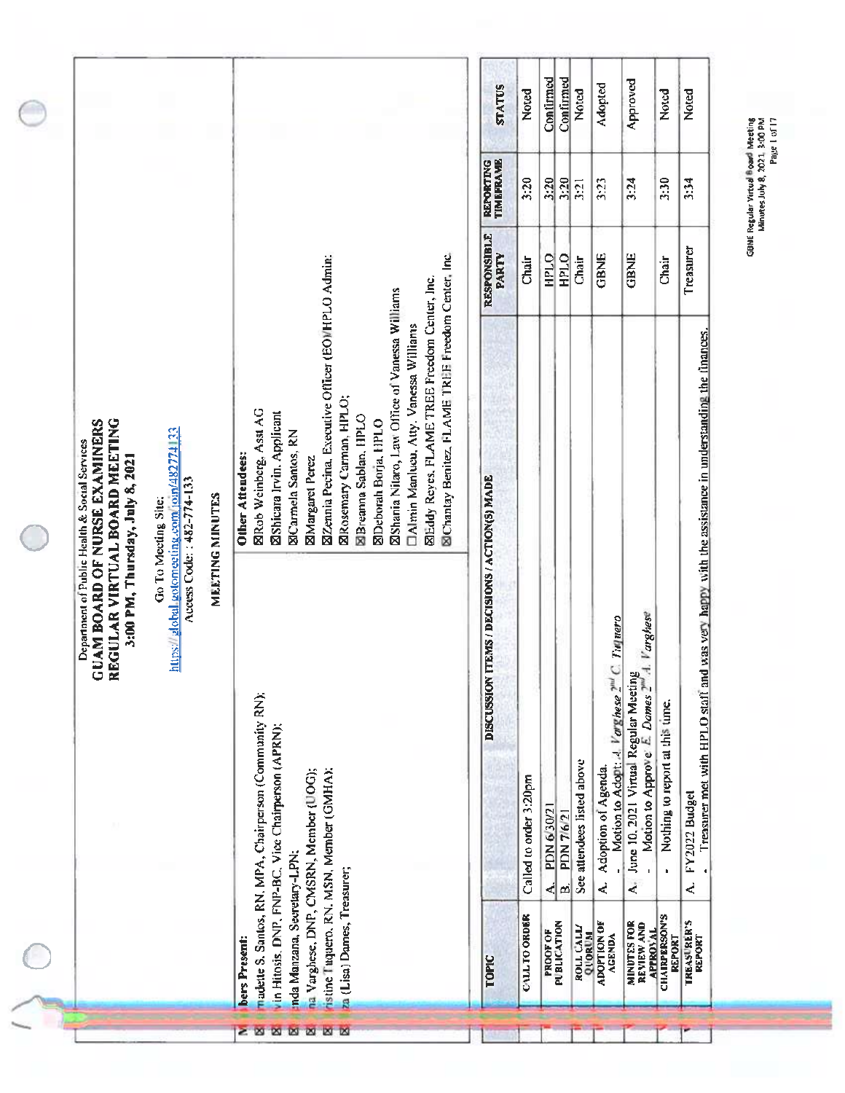| <b><i>TIMEFRAME</i></b><br>REPORTING<br>3:20<br>3:20<br>3:20<br>3:23<br>3:24<br>3:30<br>3:34<br>3:21<br><b>RESPONSIBLE</b><br>Treasurer<br>SiChantay Benitez, FLAME TREE Freedom Center, Inc.<br>PARTY<br><b>GBNE</b><br><b>HPLO</b><br>HPLO<br><b>GBNE</b><br><b>ZZemia Pecina, Executive Officer (EOMHPLO Admin:</b><br>Chair<br>Chair<br>Chair<br>SiEddy Reyes, FLAME TREE Freedom Center, Inc.<br><b>ØShania Nitaro, Law Office of Vanessa Williams</b><br>DAlmin Manlucu, Atty. Vanessa Williams<br>Treasurer met with HPLO staff and was very happy with the assistance in understanding the finances.<br><b>ØRosemary Carman, HPLO;</b><br><b>ERob Weinberg, Asst AG</b><br><b>Øshicara Irvin. Applicant</b><br><b>SBreanna Sablan, HPLO</b><br>REGULAR VIRTUAL BOARD MEETING<br><b>SIDeborah Borja, HPLO</b><br><b>GUAM BOARD OF NURSE EXAMINERS</b><br>attps://global.gotomeeting.com/join/482774133<br><b>El Carmela Santos, RN</b><br>Department of Public Health & Social Services<br>Other Attendees:<br>3:00 PM, Thursday, July 8, 2021<br><b>ZMargaret</b> Perez<br><b>TEMS / DECISIONS / ACTION(S) MADE</b><br>Access Code: : 482-774-133<br>MEETING MINUTES<br>Go To Meeting Site:<br>1. Varghese<br>Motion to Adopt: A. Varghese $2^{\text{nd}}$ C. Tuquero<br>June 10, 2021 Virtual Regular Meeting<br><b>DISCUSSION</b><br>Motion to Approve: E. Dames 2"<br>madette S. Santos, RN. MPA, Chairperson (Community RN);<br>Nothing to report at this time.<br>in Hitosis, DNP, FNP-BC, Vice Chairperson (APRN);<br>See attendees listed above<br>Adoption of Agenda<br>na Varghese, DNP, CMSRN, Member (UOG);<br>ristine Tuquero, RN. MSN, Member (GMHA);<br>Called to order 3:20pm<br>FY2022 Budget<br>PDN 6/30/21<br>PDN 7/6/21<br>nda Manzana, Secretary-LPN:<br>za (Lisa) Dames, Treasurer;<br>$\mathbf{r}$<br>k,<br>∢<br>Ä,<br>₹<br>ø<br><b>APPROVAL</b><br>CHAIRPERSON'S<br><b>PUBLICATION</b><br><b>QUORUM</b> |  |  |               | <b>STATUS</b> | Noted                | Contirmed | Confirmed | Noted     | Adopted                             | Approved                         | Noted         | Noted                               | GBNE Regular Virtual Board Meeting<br>Minutes July 8, 2021, 3:00 PM<br>Page L of 17 |
|----------------------------------------------------------------------------------------------------------------------------------------------------------------------------------------------------------------------------------------------------------------------------------------------------------------------------------------------------------------------------------------------------------------------------------------------------------------------------------------------------------------------------------------------------------------------------------------------------------------------------------------------------------------------------------------------------------------------------------------------------------------------------------------------------------------------------------------------------------------------------------------------------------------------------------------------------------------------------------------------------------------------------------------------------------------------------------------------------------------------------------------------------------------------------------------------------------------------------------------------------------------------------------------------------------------------------------------------------------------------------------------------------------------------------------------------------------------------------------------------------------------------------------------------------------------------------------------------------------------------------------------------------------------------------------------------------------------------------------------------------------------------------------------------------------------------------------------------------------------------------------------------------------------------------------------|--|--|---------------|---------------|----------------------|-----------|-----------|-----------|-------------------------------------|----------------------------------|---------------|-------------------------------------|-------------------------------------------------------------------------------------|
|                                                                                                                                                                                                                                                                                                                                                                                                                                                                                                                                                                                                                                                                                                                                                                                                                                                                                                                                                                                                                                                                                                                                                                                                                                                                                                                                                                                                                                                                                                                                                                                                                                                                                                                                                                                                                                                                                                                                        |  |  |               |               |                      |           |           |           |                                     |                                  |               |                                     |                                                                                     |
|                                                                                                                                                                                                                                                                                                                                                                                                                                                                                                                                                                                                                                                                                                                                                                                                                                                                                                                                                                                                                                                                                                                                                                                                                                                                                                                                                                                                                                                                                                                                                                                                                                                                                                                                                                                                                                                                                                                                        |  |  |               |               |                      |           |           |           |                                     |                                  |               |                                     |                                                                                     |
|                                                                                                                                                                                                                                                                                                                                                                                                                                                                                                                                                                                                                                                                                                                                                                                                                                                                                                                                                                                                                                                                                                                                                                                                                                                                                                                                                                                                                                                                                                                                                                                                                                                                                                                                                                                                                                                                                                                                        |  |  |               |               |                      |           |           |           |                                     |                                  |               |                                     |                                                                                     |
|                                                                                                                                                                                                                                                                                                                                                                                                                                                                                                                                                                                                                                                                                                                                                                                                                                                                                                                                                                                                                                                                                                                                                                                                                                                                                                                                                                                                                                                                                                                                                                                                                                                                                                                                                                                                                                                                                                                                        |  |  |               |               |                      |           |           |           |                                     |                                  |               |                                     |                                                                                     |
|                                                                                                                                                                                                                                                                                                                                                                                                                                                                                                                                                                                                                                                                                                                                                                                                                                                                                                                                                                                                                                                                                                                                                                                                                                                                                                                                                                                                                                                                                                                                                                                                                                                                                                                                                                                                                                                                                                                                        |  |  | bers Present: | TOPIC         | <b>CALL TO ORDER</b> | PROOF OF  |           | ROLL CALL | <b>ADOPTION OF</b><br><b>AGENDA</b> | <b>MINUTES FOR</b><br>REVIEW AND | <b>REPORT</b> | <b>TREASURER'S</b><br><b>REPORT</b> |                                                                                     |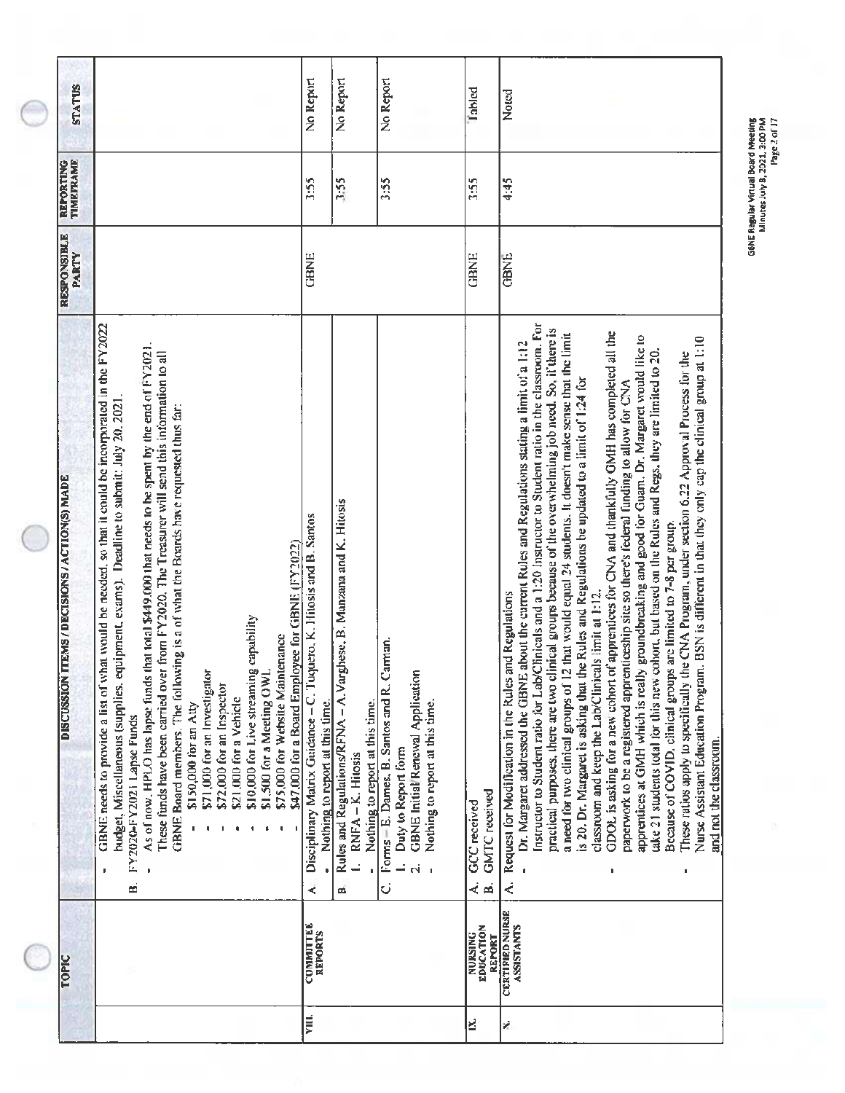| <b>STATUS</b>                                                  |                                                                                                                                                                                                                                                                                                                                                                                                                                                                                                                                                                                                                                                                                                                                                                                                                 | No Report                                                                                                   | No Report                                                                                                                      | No Report                                                                                                                                     | Tabled                                         | Noted                                                                                                                                                                                                                                                                                                                                                                                                                                                                                                                                                                                                                                                                                                                                                                                                                                                                                                                                                                                                                                                                                                                                                                                                                                                                                                                                                                               |
|----------------------------------------------------------------|-----------------------------------------------------------------------------------------------------------------------------------------------------------------------------------------------------------------------------------------------------------------------------------------------------------------------------------------------------------------------------------------------------------------------------------------------------------------------------------------------------------------------------------------------------------------------------------------------------------------------------------------------------------------------------------------------------------------------------------------------------------------------------------------------------------------|-------------------------------------------------------------------------------------------------------------|--------------------------------------------------------------------------------------------------------------------------------|-----------------------------------------------------------------------------------------------------------------------------------------------|------------------------------------------------|-------------------------------------------------------------------------------------------------------------------------------------------------------------------------------------------------------------------------------------------------------------------------------------------------------------------------------------------------------------------------------------------------------------------------------------------------------------------------------------------------------------------------------------------------------------------------------------------------------------------------------------------------------------------------------------------------------------------------------------------------------------------------------------------------------------------------------------------------------------------------------------------------------------------------------------------------------------------------------------------------------------------------------------------------------------------------------------------------------------------------------------------------------------------------------------------------------------------------------------------------------------------------------------------------------------------------------------------------------------------------------------|
| <b>REPORTING</b><br>TIMEFRAME                                  |                                                                                                                                                                                                                                                                                                                                                                                                                                                                                                                                                                                                                                                                                                                                                                                                                 | 3:55                                                                                                        | 3:55                                                                                                                           | 3:55                                                                                                                                          | 3:55                                           | 4:45                                                                                                                                                                                                                                                                                                                                                                                                                                                                                                                                                                                                                                                                                                                                                                                                                                                                                                                                                                                                                                                                                                                                                                                                                                                                                                                                                                                |
| <b>RESPONSIBLE</b><br><b>PARTY</b>                             |                                                                                                                                                                                                                                                                                                                                                                                                                                                                                                                                                                                                                                                                                                                                                                                                                 | <b>GBNE</b>                                                                                                 |                                                                                                                                |                                                                                                                                               | <b>GBNE</b>                                    | <b>GBNIE</b>                                                                                                                                                                                                                                                                                                                                                                                                                                                                                                                                                                                                                                                                                                                                                                                                                                                                                                                                                                                                                                                                                                                                                                                                                                                                                                                                                                        |
| <b>TTEMS / DECISIONS / ACTION(S) MADE</b><br><b>DISCUSSION</b> | GBNE needs to provide a list of what would be needed, so that it could be incorporated in the $FY2022$<br>As of now, HPLO has lapse funds that total \$449.000 that needs to be spent by the end of FY2021.<br>These funds have been carried over from FY2020. The Treasurer will send this information to all<br>budget, Miscellaneous (supplies, equipment, exams). Deadline to submit: July 20, 2021.<br>GBNE Board members. The following is a of what the Boards have requested thus far:<br>\$47,000 for a Board Employee for GBNE (FY2022)<br>\$10,000 for Live streaming capability<br>\$75,000 for Website Maintenance<br>\$71,000 for an Investigator<br>\$1,500 for a Meeting OWI<br>\$72,000 for an Inspector<br>\$21,000 for a Vehicle<br>\$150,000 for an Atty<br>FY2020-FY2021 Lapse Funds<br>ස් | Disciplinary Matrix Guidance - C. Tuquero, K. Hitosis and B. Santos<br>Nothing to report at this time.<br>⋖ | Rules and Regulations/RFNA - A. Varghese, B. Manzana and K. Hitosis<br>Nothing to report at this time.<br>RNFA-K. Hitosis<br>ø | Forms + E. Dames, B. Santos and R. Carman.<br>GBNE Initial/Renewal Application<br>Nothing to report at this time.<br>Duty to Report form<br>Ö | <b>GMTC</b> received<br>GCC received<br>ø<br>∢ | Instructor to Student ratio for Lab/Clinicals and a 1:20 Instructor to Student ratio in the classroom. For<br>practical purposes, there are two clinical groups because of the overwhelming job need. So, if there is<br>ODOL is asking for a new cohort of apprentices for CNA and thankfully GMH has completed all the<br>a need for two clinical groups of 12 that would equal 24 students. It doesn't make sense that the limit<br>apprentices at GMH which is really groundbreaking and good for Guam. Dr. Margaret would like to<br>Nurse Assistant Education Program. BSN is different in that they only cap the clinical group at 1:10<br>Dr. Margaret addressed the GBNE about the current Rules and Regulations stating a limit of a 1:12<br>take 21 students total for this new cohort, but based on the Rules and Regs, they are limited to 20.<br>These ratios apply to specifically the CNA Program, under section 6.22 Approval Process for the<br>is 20. Dr. Margaret is asking that the Rules and Regulations be updated to a limit of 1:24 for<br>paperwork to be a registered apprenticeship site so there's federal funding to allow for CNA<br>Because of COVID, clinical groups are limited to 7-8 per group.<br>classroom and keep the Lab/Clinicals limit at 1:12.<br>Request for Modification in the Rules and Regulations<br>and not the classroom.<br>é, |
| <b>TOPIC</b>                                                   |                                                                                                                                                                                                                                                                                                                                                                                                                                                                                                                                                                                                                                                                                                                                                                                                                 | COMMITTEE<br>REPORTS                                                                                        |                                                                                                                                |                                                                                                                                               | EDUCATION<br><b>NURSING</b><br><b>REPORT</b>   | <b>CERTIFIED NURSE</b><br><b>ASSISTANTS</b>                                                                                                                                                                                                                                                                                                                                                                                                                                                                                                                                                                                                                                                                                                                                                                                                                                                                                                                                                                                                                                                                                                                                                                                                                                                                                                                                         |
|                                                                |                                                                                                                                                                                                                                                                                                                                                                                                                                                                                                                                                                                                                                                                                                                                                                                                                 | VIII.                                                                                                       |                                                                                                                                |                                                                                                                                               | ε                                              | Ý,                                                                                                                                                                                                                                                                                                                                                                                                                                                                                                                                                                                                                                                                                                                                                                                                                                                                                                                                                                                                                                                                                                                                                                                                                                                                                                                                                                                  |

GBNE Regular Virtual Board Meeting<br>Minutes July 8, 2021, 3:00 PM<br>Page 2 of 17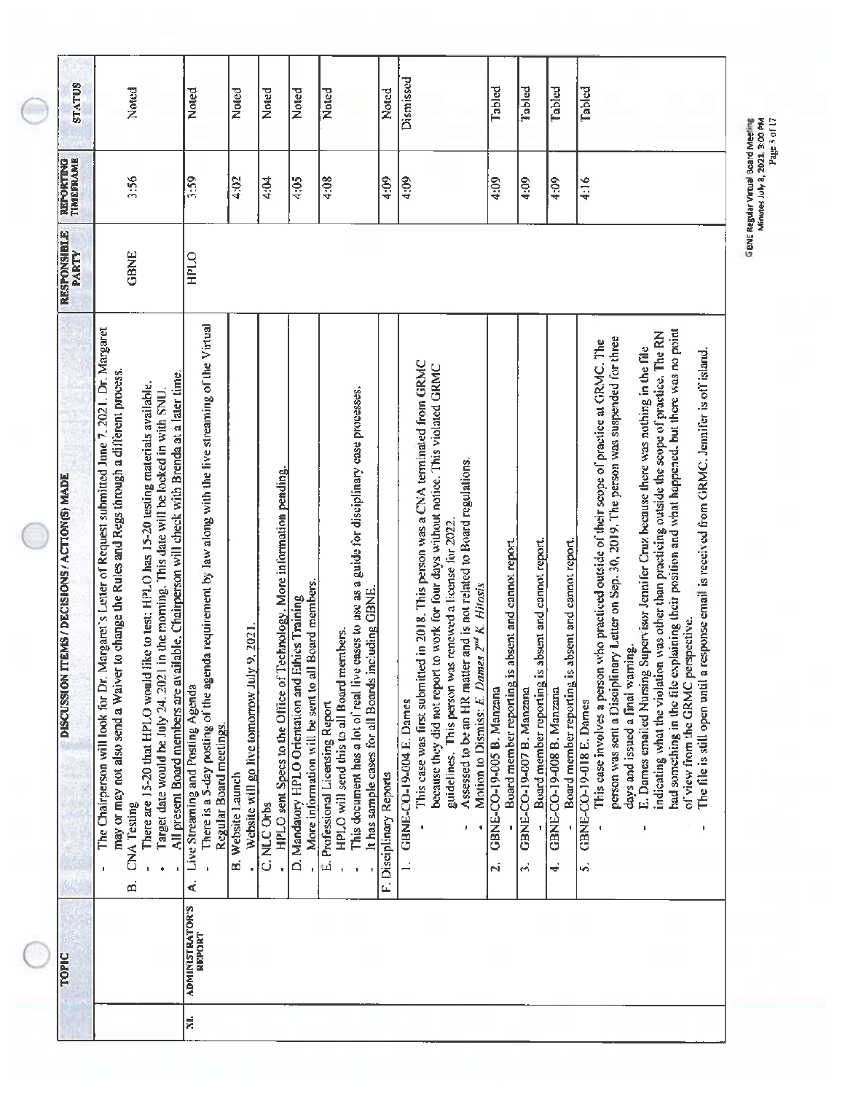| <b>STATUS</b>                                                  | Noted                                                                                                                                                                                                                                                                                                                                                                                                                                                                                                        | Noted                                                                                                                                                                        | Noted                                                           | Noted                                                                                    | <b>Noted</b>                                                                                             | Noted                                                                                                                                                                                                                                   | Noted                   | Dismissed                                                                                                                                                                                                                                                                                                                                                                                              | Tabled                                                                                | Tabled                                                                                | Tabled                                                                                | Tabled                                                                                                                                                                                                                                                                                                                                                                                                                                                                                                                                                                                                                                                                                                 |
|----------------------------------------------------------------|--------------------------------------------------------------------------------------------------------------------------------------------------------------------------------------------------------------------------------------------------------------------------------------------------------------------------------------------------------------------------------------------------------------------------------------------------------------------------------------------------------------|------------------------------------------------------------------------------------------------------------------------------------------------------------------------------|-----------------------------------------------------------------|------------------------------------------------------------------------------------------|----------------------------------------------------------------------------------------------------------|-----------------------------------------------------------------------------------------------------------------------------------------------------------------------------------------------------------------------------------------|-------------------------|--------------------------------------------------------------------------------------------------------------------------------------------------------------------------------------------------------------------------------------------------------------------------------------------------------------------------------------------------------------------------------------------------------|---------------------------------------------------------------------------------------|---------------------------------------------------------------------------------------|---------------------------------------------------------------------------------------|--------------------------------------------------------------------------------------------------------------------------------------------------------------------------------------------------------------------------------------------------------------------------------------------------------------------------------------------------------------------------------------------------------------------------------------------------------------------------------------------------------------------------------------------------------------------------------------------------------------------------------------------------------------------------------------------------------|
| REFORTING<br>TIMEFRAME                                         | 3:56                                                                                                                                                                                                                                                                                                                                                                                                                                                                                                         | 3:59                                                                                                                                                                         | 4:02                                                            | 4:04                                                                                     | 4:05                                                                                                     | 4:08                                                                                                                                                                                                                                    | 4:09                    | 4:09                                                                                                                                                                                                                                                                                                                                                                                                   | 4:09                                                                                  | 4:09                                                                                  | 4:09                                                                                  | 4:16                                                                                                                                                                                                                                                                                                                                                                                                                                                                                                                                                                                                                                                                                                   |
| <b>RESPONSIBLE</b><br>PARTY                                    | GBNE                                                                                                                                                                                                                                                                                                                                                                                                                                                                                                         | <b>OTIGH</b>                                                                                                                                                                 |                                                                 |                                                                                          |                                                                                                          |                                                                                                                                                                                                                                         |                         |                                                                                                                                                                                                                                                                                                                                                                                                        |                                                                                       |                                                                                       |                                                                                       |                                                                                                                                                                                                                                                                                                                                                                                                                                                                                                                                                                                                                                                                                                        |
| <b>ITEMS / DECISIONS / ACTION(S) MADE</b><br><b>DISCUSSION</b> | Margaret's Letter of Request submitted June 7, 2021. Dr. Margaret<br>may or may not also send a Waiver to change the Rules and Regs through a different process.<br>All present Board members are available. Chairperson will check with Brenda at a later time<br>There are 15-20 that HPLO would like to test; HPLO has 15-20 testing materials available.<br>Target date would be July 24, 2021 in the morning. This date will be locked in with SNU.<br>The Chairperson will look for Dr.<br>CNA Testing | There is a 5-day posting of the agenda requirement by law along with the live streaming of the Virtual<br>Live Streaming and Posting Agenda<br>Regular Board meetings.<br>k, | Website will go live tomorrow July 9, 2021<br>B. Website Launch | Technology. More information pending.<br>HPLO sent Specs to the Office of<br>C. NLC Orbs | More information will be sent to all Board members.<br>D. Mandatory HPLO Orientation and Ethics Training | This document has a lot of real live cases to use as a guide for disciplinary case processes.<br>including GBNE.<br>HPLO will send this to all Board members.<br>It has sample cases for all Boards<br>E. Professional Licensing Report | F. Disciplinary Reports | This case was first submitted in 2018. This person was a CNA terminated from GRMC<br>because they did not report to work for four days without notice. This violated GRMC<br>Assessed to be an HR matter and is not related to Board regulations.<br>guidelines. This person was renewed a license for 2022<br>Motion to Dismiss: E. Dames 2 <sup>nd</sup> K. Hitosis<br>GBNE-CO-19-004 E. Dames<br>j, | Board member reporting is absent and cannot report.<br>GBNE-CO-19-005 B. Manzana<br>N | Board member reporting is absent and cannot report.<br>GBNE-CO-19-007 B. Manzana<br>ń | Board member reporting is absent and cannot report.<br>GBNE-CO-19-008 B. Manzana<br>≼ | had something in the file explaining their position and what happened, but there was no point<br>indicating what the violation was other than practicing outside the scope of practice. The RN<br>person was sent a Disciplinary Letter on Sep. 30, 2019. The person was suspended for three<br>This case involves a person who practiced outside of their scope of practice at GRMC. The<br>E. Dames emailed Nursing Supervisor Jennifer Cruz because there was nothing in the file<br>The file is still open until a response email is received from GRMC. Jennifer is off island.<br>of view from the GRMC perspective.<br>days and issued a final warning.<br><b>GBNE-CO-19-018 E. Dames</b><br>ψŚ |
| TOPIC                                                          | ø                                                                                                                                                                                                                                                                                                                                                                                                                                                                                                            | <b>ADMINISTRATOR'S</b><br><b>REPORT</b>                                                                                                                                      |                                                                 |                                                                                          |                                                                                                          |                                                                                                                                                                                                                                         |                         |                                                                                                                                                                                                                                                                                                                                                                                                        |                                                                                       |                                                                                       |                                                                                       |                                                                                                                                                                                                                                                                                                                                                                                                                                                                                                                                                                                                                                                                                                        |
|                                                                |                                                                                                                                                                                                                                                                                                                                                                                                                                                                                                              | XI.                                                                                                                                                                          |                                                                 |                                                                                          |                                                                                                          |                                                                                                                                                                                                                                         |                         |                                                                                                                                                                                                                                                                                                                                                                                                        |                                                                                       |                                                                                       |                                                                                       |                                                                                                                                                                                                                                                                                                                                                                                                                                                                                                                                                                                                                                                                                                        |

GBNE Regular Virtual Board Meeting<br>Minutes July 8, 2021, 3:00 PM<br>Minutes July 8, 2021, 3:05 PM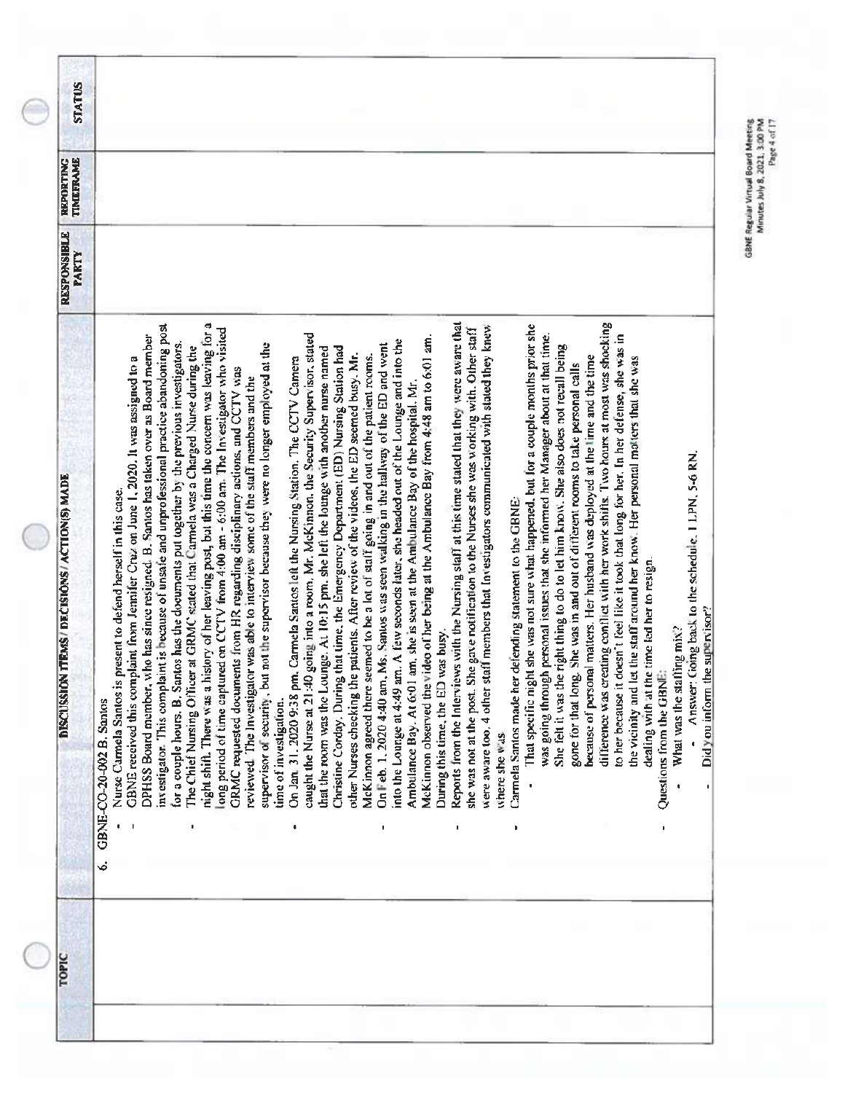| <b>STATUS</b>                                           |                                                                                                                                                                                                                                                                                                                                                                                                                                                                                                                                                                                                                                                                                                                                                                                                                                                                                                                                                                                                                                                                                                                                                                                                                                                                                                                                                                                                                                                                                                                                                                                                                                                                                                                                                                                                                                                                                                                                                                                                                                                                                                                                                                                                                                                                                                                                                                                                                                                                                                                                                                                                                                                                                                                                                                                                                                                                                                                                                                                                                                                                                                                                                                                                                                                                                                                                                                                                      |
|---------------------------------------------------------|------------------------------------------------------------------------------------------------------------------------------------------------------------------------------------------------------------------------------------------------------------------------------------------------------------------------------------------------------------------------------------------------------------------------------------------------------------------------------------------------------------------------------------------------------------------------------------------------------------------------------------------------------------------------------------------------------------------------------------------------------------------------------------------------------------------------------------------------------------------------------------------------------------------------------------------------------------------------------------------------------------------------------------------------------------------------------------------------------------------------------------------------------------------------------------------------------------------------------------------------------------------------------------------------------------------------------------------------------------------------------------------------------------------------------------------------------------------------------------------------------------------------------------------------------------------------------------------------------------------------------------------------------------------------------------------------------------------------------------------------------------------------------------------------------------------------------------------------------------------------------------------------------------------------------------------------------------------------------------------------------------------------------------------------------------------------------------------------------------------------------------------------------------------------------------------------------------------------------------------------------------------------------------------------------------------------------------------------------------------------------------------------------------------------------------------------------------------------------------------------------------------------------------------------------------------------------------------------------------------------------------------------------------------------------------------------------------------------------------------------------------------------------------------------------------------------------------------------------------------------------------------------------------------------------------------------------------------------------------------------------------------------------------------------------------------------------------------------------------------------------------------------------------------------------------------------------------------------------------------------------------------------------------------------------------------------------------------------------------------------------------------------------|
| <b>REPORTING</b><br>TIMEFRAME                           |                                                                                                                                                                                                                                                                                                                                                                                                                                                                                                                                                                                                                                                                                                                                                                                                                                                                                                                                                                                                                                                                                                                                                                                                                                                                                                                                                                                                                                                                                                                                                                                                                                                                                                                                                                                                                                                                                                                                                                                                                                                                                                                                                                                                                                                                                                                                                                                                                                                                                                                                                                                                                                                                                                                                                                                                                                                                                                                                                                                                                                                                                                                                                                                                                                                                                                                                                                                                      |
| <b>RESPONSIBLE</b><br>PARTY                             |                                                                                                                                                                                                                                                                                                                                                                                                                                                                                                                                                                                                                                                                                                                                                                                                                                                                                                                                                                                                                                                                                                                                                                                                                                                                                                                                                                                                                                                                                                                                                                                                                                                                                                                                                                                                                                                                                                                                                                                                                                                                                                                                                                                                                                                                                                                                                                                                                                                                                                                                                                                                                                                                                                                                                                                                                                                                                                                                                                                                                                                                                                                                                                                                                                                                                                                                                                                                      |
| ITEMS / DECISIONS / ACTION(S) MADE<br><b>DISCUSSION</b> | Reports from the Interviews with the Nursing staff at this time stated that they were aware that<br>difference was creating conflict with her work shifts. Two hours at most was shocking<br>night shift. There was a history of her leaving post, but this time the concern was leaving for a<br>investigator. This complaint is because of unsafe and unprofessional practice abandoning post<br>That specific night she was not sure what happened, but for a couple months prior she<br>were aware too. 4 other staff members that Investigators communicated with stated they knew<br>she was not at the post. She gave notification to the Nurses she was working with. Other staff<br>long period of time captured on CCTV from 4:00 am - 6:00 am. The Investigator who visited<br>caught the Nurse at 21:40 going into a room. Mr. McKinnon, the Security Supervisor, stated<br>was going through personal issues that she informed her Manager about at that time.<br>to her because it doesn't feel like it took that long for her. In her defense, she was in<br>DPHSS Board member, who has since resigned. B. Santos has taken over as Board member<br>McKinnon observed the video of her being at the Ambulance Bay from 4:48 am to 6:01 am.<br>into the Lounge at 4:49 am. A few seconds later, she headed out of the Lounge and into the<br>for a couple hours. B. Santos has the documents put together by the previous investigators.<br>not the supervisor because they were no longer employed at the<br>On Feb. 1, 2020 4:40 am, Ms. Santos was seen walking in the hallway of the ED and went<br>She felt it was the right thing to do to let him know. She also does not recall being<br>The Chief Nursing Officer at GRMC stated that Carmela was a Charged Nurse during the<br>that the room was the Lounge. At 10:15 pm, she left the lounge with another nurse named<br>Christine Corday. During that time, the Emergency Department (ED) Nursing Station had<br>patients. After review of the videos, the ED seemed busy. Mr.<br>because of personal matters. Her husband was deployed at the time and the time<br>McKinnon agreed there seemed to be a lot of staff going in and out of the patient rooms.<br>the vicinity and let the staff around her know. Her personal matters that she was<br>GBNE received this complaint from Jennifer Cruz on June 1, 2020. It was assigned to a<br>On Jan. 31. 2020 9:38 pm. Carmela Santos left the Nursing Station. The CCTV Camera<br>She was in and out of different rooms to take personal calls<br>GRMC requested documents from HR regarding disciplinary actions, and CCTV was<br>reviewed. The Investigator was able to interview some of the staff members and the<br>Ambulance Bay. At 6:01 am, she is seen at the Ambulance Bay of the hospital. Mr.<br>Answer: Cioing back to the schedule, 1 LPN, 5-6 RN.<br>Nurse Carmela Santos is present to defend herself in this case.<br>defending statement to the GBNE;<br>dealing with at the time led her to resign.<br>Did you inform the supervisor?<br>What was the staffing mix?<br>During this time, the ED was busy.<br>supervisor of security, but<br>other Nurses checking the<br>gone for that long.<br>Questions from the GBNE<br>Carmela Santos made her<br>time of investigation.<br>GBNE-CO-20-002 B. Santos<br>where she was.<br>1<br>ı<br>þ<br>J.<br>ø |
| TOPIC                                                   |                                                                                                                                                                                                                                                                                                                                                                                                                                                                                                                                                                                                                                                                                                                                                                                                                                                                                                                                                                                                                                                                                                                                                                                                                                                                                                                                                                                                                                                                                                                                                                                                                                                                                                                                                                                                                                                                                                                                                                                                                                                                                                                                                                                                                                                                                                                                                                                                                                                                                                                                                                                                                                                                                                                                                                                                                                                                                                                                                                                                                                                                                                                                                                                                                                                                                                                                                                                                      |

CANE Regalar Virtuai Board Meeting Minutes July 8, 2021, 3:00 PM GBNE Regular Virtual Board Meeting<br>Minutes July 8, 2021, 3:00 PM<br>Page 4 of 17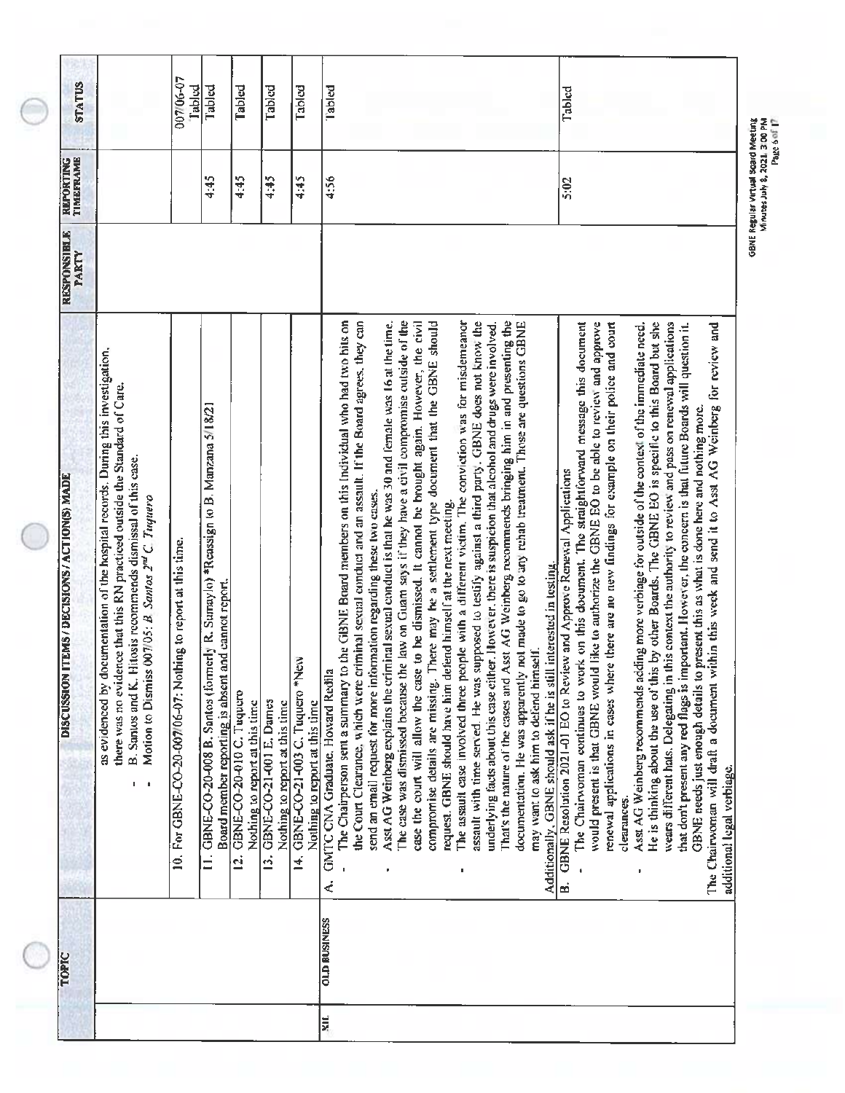| <b>STATUS</b>                                         |                                                                                                                                                                                                                                                                                                    | 007/06-07<br>Tabled                                           | Tabled                                                                                                                                   | Tabled                                                      | Tabled                                                    | Tabled                                                           | Tabled<br>Tabled                                                                                                                                                                                                                                                                                                                                                                                                                                                                                                                                                                                                                                                                                                                                                                                                                                                                                                                                                                                                                                                                                                                                                                                                                                                                                                                                                                                                                                                                                                                                                                                                                                                                                                                                                                                                                                                                                                                                                                                                                                                                                                                                                                                                                                                                                                                                                                                                                                                                                                                                                      |
|-------------------------------------------------------|----------------------------------------------------------------------------------------------------------------------------------------------------------------------------------------------------------------------------------------------------------------------------------------------------|---------------------------------------------------------------|------------------------------------------------------------------------------------------------------------------------------------------|-------------------------------------------------------------|-----------------------------------------------------------|------------------------------------------------------------------|-----------------------------------------------------------------------------------------------------------------------------------------------------------------------------------------------------------------------------------------------------------------------------------------------------------------------------------------------------------------------------------------------------------------------------------------------------------------------------------------------------------------------------------------------------------------------------------------------------------------------------------------------------------------------------------------------------------------------------------------------------------------------------------------------------------------------------------------------------------------------------------------------------------------------------------------------------------------------------------------------------------------------------------------------------------------------------------------------------------------------------------------------------------------------------------------------------------------------------------------------------------------------------------------------------------------------------------------------------------------------------------------------------------------------------------------------------------------------------------------------------------------------------------------------------------------------------------------------------------------------------------------------------------------------------------------------------------------------------------------------------------------------------------------------------------------------------------------------------------------------------------------------------------------------------------------------------------------------------------------------------------------------------------------------------------------------------------------------------------------------------------------------------------------------------------------------------------------------------------------------------------------------------------------------------------------------------------------------------------------------------------------------------------------------------------------------------------------------------------------------------------------------------------------------------------------------|
| REPORTING<br>TIMEFRAME<br><b>RESPONSIBLE</b><br>PARTY |                                                                                                                                                                                                                                                                                                    |                                                               | 4:45                                                                                                                                     | 4:45                                                        | 4:45                                                      | 4:45                                                             | 4:56<br>5:02                                                                                                                                                                                                                                                                                                                                                                                                                                                                                                                                                                                                                                                                                                                                                                                                                                                                                                                                                                                                                                                                                                                                                                                                                                                                                                                                                                                                                                                                                                                                                                                                                                                                                                                                                                                                                                                                                                                                                                                                                                                                                                                                                                                                                                                                                                                                                                                                                                                                                                                                                          |
| DISCUSSION ITEMS / DECISIONS / ACTION(S) MADE         | as evidenced by documentation of the hospital records. During this investigation,<br>there was no evidence that this RN practiced outside the Standard of Care.<br>Hitosis recommends dismissal of this case.<br>Motion to Dismiss 007/05: B Santos 2 <sup>nd</sup> C. Tuguero<br>B. Santos and K. | 10. For GBNE-CO-20-007/06-07: Nothing to report at this time. | GBNE-CO-20-008 B. Santos (formerly R. Sumaylo) *Reassign to B. Manzana 5/18/21<br>and cannot report.<br>Board member reporting is absent | GBNE-CO-20-010 C. Tuquero<br>Nothing to report at this time | GBNE-CO-21-001 E. Dames<br>Nothing to report at this time | GBNE-CO-21-003 C. Tuquero *New<br>Nothing to report at this time | to the GBNE Board members on this Individual who had two hits on<br>That's the nature of the cases and Asst AG Weinberg recommends bringing him in and presenting the<br>the Court Clearance, which were criminal sexual conduct and an assault. If the Board agrees, they can<br>Asst AG Weinberg explains the criminal sexual conduct is that he was 30 and female was 16 at the time.<br>The case was dismissed because the law on Guam says if they have a civil compromise outside of the<br>case the court will allow the case to be dismissed. It cannot be brought again. However, the civil<br>The assault case involved three people with a different victim. The conviction was for misdemeanor<br>assault with time served. He was supposed to testify against a third party. GBNE does not know the<br>There may be a settlement type document that the GBNE should<br>documentation. He was apparently not made to go to any rehab treatment. Those are questions GBNE<br>The Chairwoman continues to work on this document. The straightforward message this document<br>would present is that GBNE would like to authorize the GBNE EO to be able to review and approve<br>wears different hats. Delegating in this context the authority to review and pass on renewal applications<br>underlying facts about this case either. However, there is suspicion that alcohol and drugs were involved.<br>renewal applications in cases where there are no new findings for example on their police and court<br>He is thinking about the use of this by other Boards. The GBNE EO is specific to this Board but she<br>within this week and send it to Asst AG Weinberg for review and<br>Asst AG Weinberg recommends adding more verbiage for outside of the context of the immediate need.<br>that don't present any red flags is important. However, the concern is that future Boards will question it.<br>GBNE needs just enough details to present this as what is done here and nothing more.<br>B. GBNE Resolution 2021-01 EO to Review and Approve Renewal Applications<br>send an email request for more information regarding these two cases.<br>request. GBNE should have him defend himself at the next meeting.<br>Additionally, GBNE should ask if he is still interested in testing.<br>may want to ask him to defend himself.<br><b>R</b><br>GMTC CNA Graduate, Howard Redil<br>The Chairwoman will draft a document<br>The Chairperson sent a summary<br>compromise details are missing.<br>additional legal verbiage.<br>clearances. |
| TOPIC                                                 |                                                                                                                                                                                                                                                                                                    |                                                               | $\dot{=}$                                                                                                                                | ā                                                           | ø,                                                        | ¥,                                                               | ₹<br><b>OLD BUSINESS</b><br>ķщ                                                                                                                                                                                                                                                                                                                                                                                                                                                                                                                                                                                                                                                                                                                                                                                                                                                                                                                                                                                                                                                                                                                                                                                                                                                                                                                                                                                                                                                                                                                                                                                                                                                                                                                                                                                                                                                                                                                                                                                                                                                                                                                                                                                                                                                                                                                                                                                                                                                                                                                                        |

€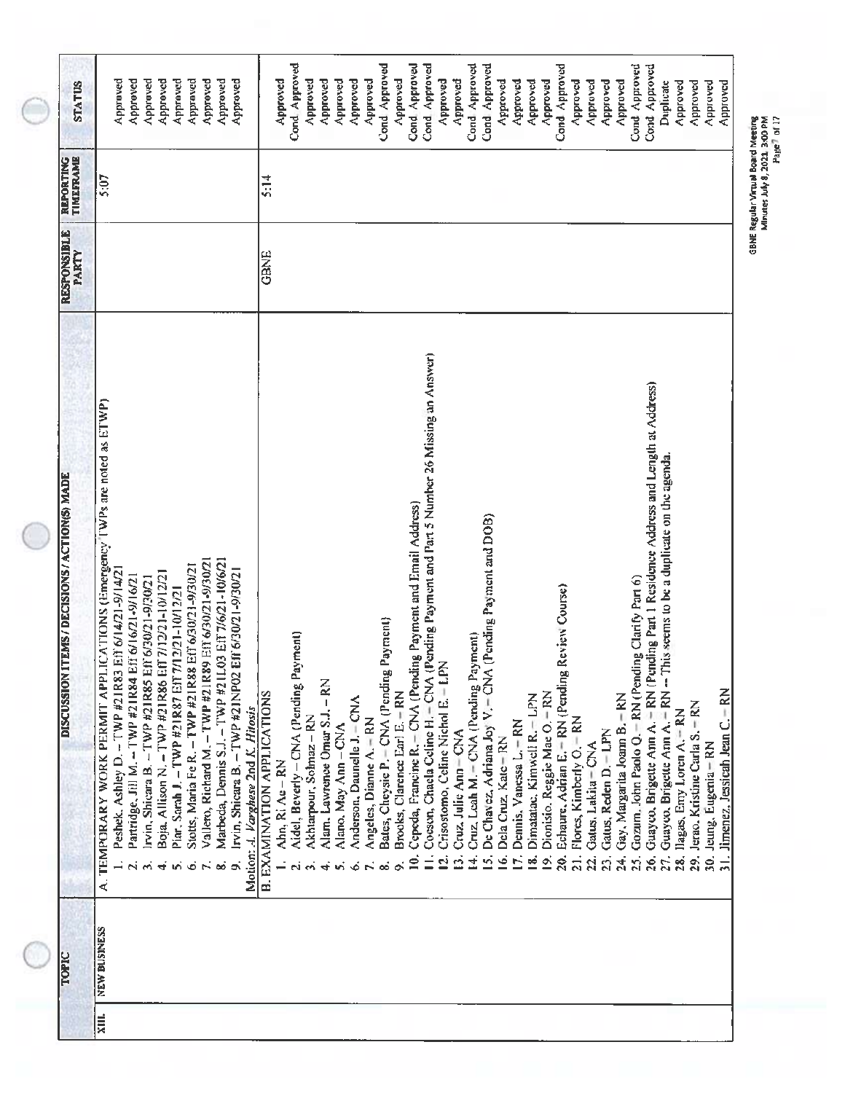| <b>STATUS</b>                                                  | Approved<br>Approved<br>Approved<br>Approved<br>Approved<br>Approved<br>Approved<br>Approved<br>Approved                                                                                                                                                                                                                                                                                                                                                                                                                                                                                                                       |                                    | Cond Approved<br>Approved                               | Approved               | Approved<br>Approved                                | Approved                    | Cond Approved<br>Approved                                   | Approved                                  | Cond Approved                                                      | Cond Approved<br>Approved                                                                                                                | Approved                     | Cond Approved                               | Cond Approved<br>Approved                                                                      | Approved                   | Approved                         | Approved                          | Cond Approved                                           | Approved<br>Approved                                                      | Approved                  | Approved                            | Cond Approved                                                        | Cond. Approved                                                                                          | Approved<br>Duplicate                                                                                                     | Approved                          | Approved                | Approved                           |
|----------------------------------------------------------------|--------------------------------------------------------------------------------------------------------------------------------------------------------------------------------------------------------------------------------------------------------------------------------------------------------------------------------------------------------------------------------------------------------------------------------------------------------------------------------------------------------------------------------------------------------------------------------------------------------------------------------|------------------------------------|---------------------------------------------------------|------------------------|-----------------------------------------------------|-----------------------------|-------------------------------------------------------------|-------------------------------------------|--------------------------------------------------------------------|------------------------------------------------------------------------------------------------------------------------------------------|------------------------------|---------------------------------------------|------------------------------------------------------------------------------------------------|----------------------------|----------------------------------|-----------------------------------|---------------------------------------------------------|---------------------------------------------------------------------------|---------------------------|-------------------------------------|----------------------------------------------------------------------|---------------------------------------------------------------------------------------------------------|---------------------------------------------------------------------------------------------------------------------------|-----------------------------------|-------------------------|------------------------------------|
| TIMEFRAME<br>REPORTING                                         | 5:07                                                                                                                                                                                                                                                                                                                                                                                                                                                                                                                                                                                                                           | 5:14                               |                                                         |                        |                                                     |                             |                                                             |                                           |                                                                    |                                                                                                                                          |                              |                                             |                                                                                                |                            |                                  |                                   |                                                         |                                                                           |                           |                                     |                                                                      |                                                                                                         |                                                                                                                           |                                   |                         |                                    |
| <b>RESPONSIBLE</b><br>PARTY                                    |                                                                                                                                                                                                                                                                                                                                                                                                                                                                                                                                                                                                                                | GBNE                               |                                                         |                        |                                                     |                             |                                                             |                                           |                                                                    |                                                                                                                                          |                              |                                             |                                                                                                |                            |                                  |                                   |                                                         |                                                                           |                           |                                     |                                                                      |                                                                                                         |                                                                                                                           |                                   |                         |                                    |
| <b>ITEMS / DECISIONS / ACTION(S) MADE</b><br><b>DISCUSSION</b> | A. TEMPORARY WORK PERMIT APPLICATIONS (Emergency TWPs are noted as ETWP)<br>Vallero, Richard M. - TWP #21R89 Eff 6/30/21-9/30/21<br>Marbeda, Dennis S.J. - TWP #211.03 Eff 7/6/21-10/6/21<br>Stotts, Maria Fe R. - TWP #21R88 Eff 6/30/21-9/30/21<br>Peshek, Ashley D. - TWP #21R83 Eff 6/14/21-9/14/21<br>Eff 6/30/21-9/30/21<br>Boja, Allison N. - TWP #21R86 Eff 7/12/21-10/12/21<br>Partridge, Jill M. - TWP #21R84 Eff 6/16/21-9/16/21<br>Irvin, Shicara B. - TWP #21R85 Eff 6/30/21-9/30/21<br>Piar, Sarah J. - TWP #21R87 Eff 7/12/21-10/12/21<br>Irvin, Shicara B. - TWP #21NP02<br>Motion: A. Varghese 2nd K. Hitosis | <b>B. EXAMINATION APPLICATIONS</b> | Aidel, Beverly - CNA (Pending Payment)<br>Ahn, Ri Ae-RN | Akharpour, Solmaz - RN | Alam, Lawrence Omar S.J. - RN<br>Alano, May Ann-CNA | Anderson, Daunelle J. - CNA | Bates, Cheysie P. - CNA (Pending<br>Angeles, Dianne A. - RN | Payment)<br>Brooks, Clarence Earl E. - RN | Cepeda, Francine R. - CNA (Pending Payment and Email Address)<br>2 | Cocson, Chaela Celine H. - CNA (Pending Payment and Part 5 Number 26 Missing an Answer)<br>Crisostomo, Celine Nichol E. - LPN<br>Ξ<br>Ξ, | Cruz, Julie Ann = CNA<br>٠ň, | Cruz, Leah M. - CNA (Pending Payment)<br>ਚੀ | De Chavez, Adriana Joy V. - CNA (Pending Payment and DOB)<br>Dela Cruz, Kate - RN<br>فا<br>νή. | Dennis, Vanessa L.-RN<br>б | Dimatatac, Kimwell R. - LPN<br>⊴ | Dionisio. Reggie Mae O. - RN<br>⊴ | Review Course)<br>Echaure, Adrian E. - RN (Pending<br>న | Flores, Kimberly O. - RN<br>Gatus, Lakita - CNA<br>$\overline{21}$ .<br>Ŕ | Catus, Reden D.-LPN<br>ຊົ | Gay, Margarita Joann B. - RN<br>24, | Gozum, John Paolo Q. - RN (Pending Clarify Part 6)<br>$\mathfrak{L}$ | Guayco, Brigette Ann A. - RN (Pending Part 1 Residence Address and Length at Address)<br>$\frac{6}{20}$ | Guayeo, Brigette Ann A, $\div$ RN $-$ This seems to be a duplicate on the agenda.<br>28. Ilagas, Emy Loren A. - RN<br>27, | 29. Jerao. Kristine Carla S. - RN | 30. Jeung, Eugenia - RN | 31. Jimenez, Jessicah Jean C. - RN |
| <b>TOPIC</b>                                                   | <b>NEW BUSINESS</b>                                                                                                                                                                                                                                                                                                                                                                                                                                                                                                                                                                                                            |                                    |                                                         |                        |                                                     |                             |                                                             |                                           |                                                                    |                                                                                                                                          |                              |                                             |                                                                                                |                            |                                  |                                   |                                                         |                                                                           |                           |                                     |                                                                      |                                                                                                         |                                                                                                                           |                                   |                         |                                    |
|                                                                | XIII.                                                                                                                                                                                                                                                                                                                                                                                                                                                                                                                                                                                                                          |                                    |                                                         |                        |                                                     |                             |                                                             |                                           |                                                                    |                                                                                                                                          |                              |                                             |                                                                                                |                            |                                  |                                   |                                                         |                                                                           |                           |                                     |                                                                      |                                                                                                         |                                                                                                                           |                                   |                         |                                    |

c Jo و Balar Munical Media<br>Mulay preg (1707 - Mulay Japana)<br>Mulay preg (1707 - Mulay Japana)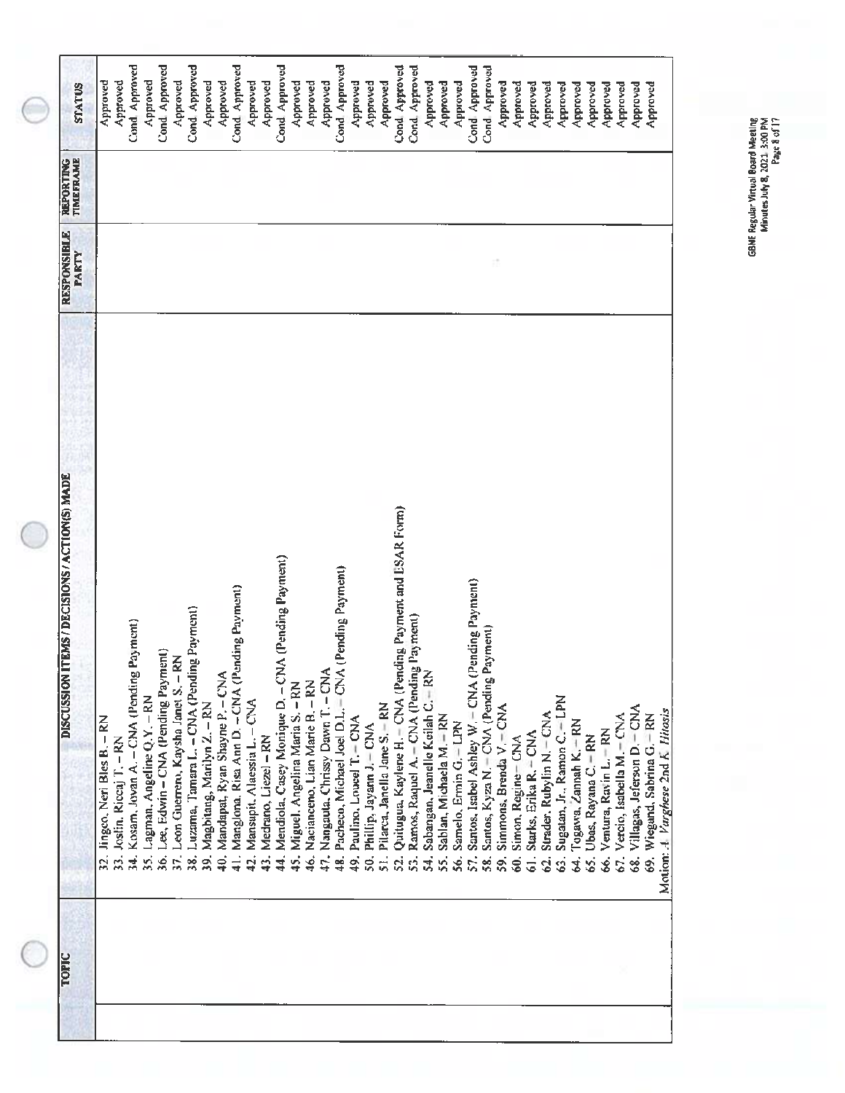GBNE Regular Virtual Board Meeting<br>Minutes July 8, 2021, 3:00 PM<br>Minutes July 8, 2021, 3:00 PM

B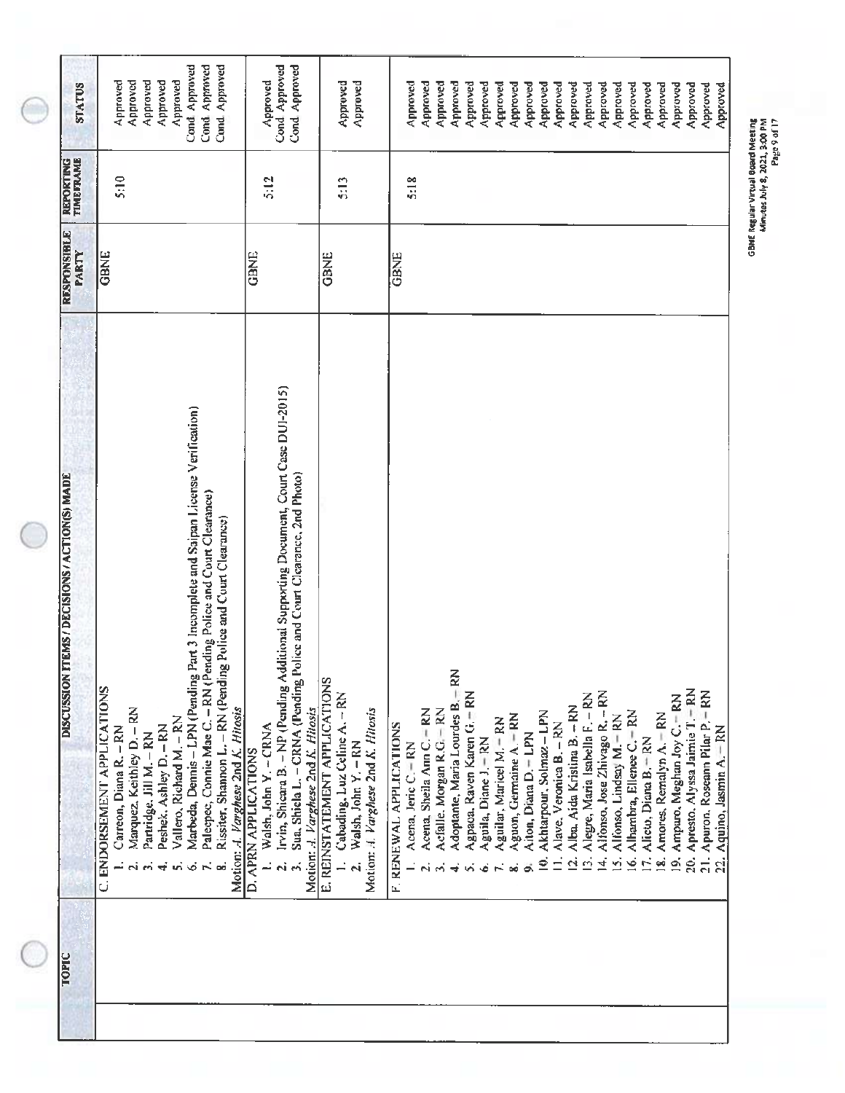| <b>TOPIC</b> | <b>ITEMS / DECISIONS / ACTION(S) MADE</b><br>DISCUSSION                                                                                                                                                                                                               | <b>RESPONSIBLE</b><br>PARTY | <b>REPORTING</b><br>TIMEFRAME | <b>STATUS</b>                                            |
|--------------|-----------------------------------------------------------------------------------------------------------------------------------------------------------------------------------------------------------------------------------------------------------------------|-----------------------------|-------------------------------|----------------------------------------------------------|
|              | C. ENDORSEMENT APPLICATIONS<br>Marquez, Keithley D. - RN<br>Vallero, Richard M. - RN<br>Peshek, Ashley D. - RN<br>Carreon, Diana R. - RN<br>Partridge, Jill M. - RN                                                                                                   | GBNE                        | 5:10                          | Approved<br>Approved<br>Approved<br>Approved<br>Approved |
|              | Part 3 Incomplete and Saipan License Verification)<br>ending Police and Court Clearance)<br>Rissiter, Shannon L. - RN (Pending Police and Court Clearance)<br>Marbeda, Dennis - LPN (Pending<br>Palecpec, Connie Mae C. - RN (P<br>Motion: A. Varghese 2nd K. Hitosis |                             |                               | Cond Approved<br>Cond. Approved<br>Cond Approved         |
|              | Irvin, Shicara B. - NP (Pending Additional Supporting Document, Court Case DUI-2015)<br>Police and Court Clearance, 2nd Photo)<br>Sua, Shiela L. - CRNA (Pending<br>Motion:  Varghese 2nd K. Hitosis<br>Walsh, John Y. - CRNA<br><b>D. APRN APPLICATIONS</b><br>ń     | GBNE                        | $\frac{512}{2}$               | Cond Approved<br>Cond Approved<br>Approved               |
|              | E. REINSTATEMENT APPLICATIONS<br>Cabading, Luz Celine A. - RN<br>Motion: J. Varghese 2nd K. Hitosis<br>Walsh, John Y. - RN<br>$\overline{a}$<br>$\mathbf{z}$                                                                                                          | <b>GBNE</b>                 | 5:13                          | Approved<br>Approved                                     |
|              | Acena, Sheila Ann C. - RN<br>F. RENEWAL APPLICATIONS<br>Acena, Jeric C. - RN                                                                                                                                                                                          | GBNE                        | 5:18                          | Approved<br>Approved                                     |
|              | $-RN$<br>Agpaoa, Raven Karen G. - RN<br>Adoptante, Maria Lourdes B.<br>Acfalle, Morgan R.G. - RN                                                                                                                                                                      |                             |                               | Approved<br>Approved                                     |
|              | Aguilar, Maricel M. - RN<br>Aguila, Diane J. - RN                                                                                                                                                                                                                     |                             |                               | Approved<br>Approved<br>Approved                         |
|              | Aguon, Germaine A. - RN<br>Aiton, Diana D. = LPN                                                                                                                                                                                                                      |                             |                               | Approved<br>Approved                                     |
|              | Akhtarpour, Solmaz - LPN<br>Alave, Veronica B. - RN<br>$\overline{a}$<br>₫                                                                                                                                                                                            |                             |                               | Approved<br>Approved                                     |
|              | Alegre, Maria Isabella F. - RN<br>Alba, Aida Kristina B. - RN<br>$\vec{P}$<br>ó                                                                                                                                                                                       |                             |                               | Approved<br>Approved                                     |
|              | Alfonso, Jose Zhivago R. - RN<br>Alfonso, Lindsay M. - RN<br>š,<br>$\overline{4}$                                                                                                                                                                                     |                             |                               | Approved<br>Approved                                     |
|              | Alhambra, Ellenee C. - RN<br>Alicto, Diana B. - RN<br>ف<br>É                                                                                                                                                                                                          |                             |                               | Approved<br>Approved                                     |
|              | Amores, Remalyn A.-RN<br>×.                                                                                                                                                                                                                                           |                             |                               | Approved                                                 |
|              | 20. Apresto, Alyssa Jaimie T. - RN<br>19. Ampuro, Meghan Joy C. - RN                                                                                                                                                                                                  |                             |                               | Approved<br>Approved                                     |
|              | 21. Apuron, Roseann Pilar P. - RN                                                                                                                                                                                                                                     |                             |                               | Approved                                                 |
|              | Aquino, Jasmin A. RN<br>$\dot{a}$                                                                                                                                                                                                                                     |                             |                               | Approved                                                 |

GBNE Regular Virtual Board Meeting<br>Minutes July 8, 2021, 3:00 PM<br>Page 9 of 17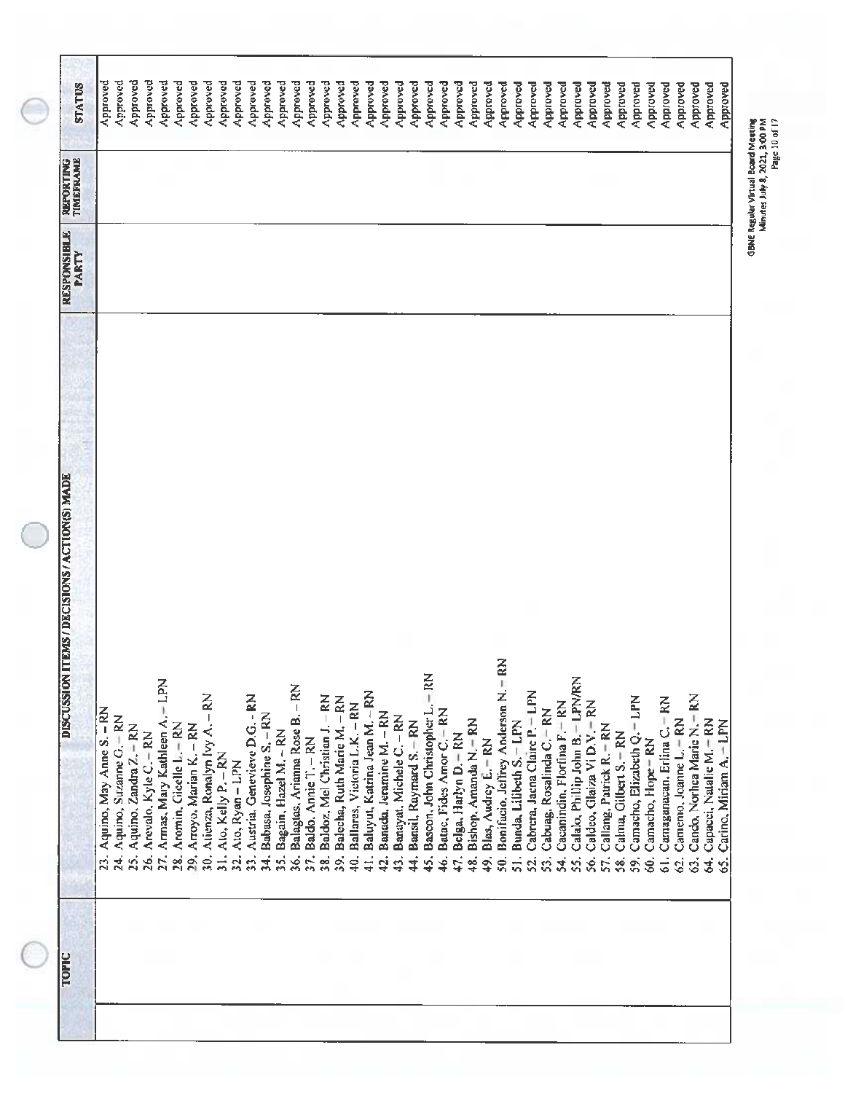| Approved<br>Approved<br>Approved<br>Approved<br>Approved<br>Approved<br>$\tilde{\varepsilon}$<br>$-$ RN<br>Calalo, Phillip John B. - LPN/RN<br>$-1.$ PN<br>Balagias, Arianna Rose B. - RN<br>Bonifacio, Jeffrey Anderson N.<br>Baluyut, Katrina Jean M. -- RN<br>Cabrera, Jaena Claire P. - LPN<br>30. Atienza, Ronalyn Ivy A. - RN<br>Austria, Genevieve D.G. - RN<br>Cando, Norhea Marie N.-RN<br>Baldoz, Mel Christian J. - RN<br>Balecha, Ruth Marie M. - RN<br>Camacho, Elizabeth Q. - LPN<br>Carnaganacan, Erlina C. - RN<br>Cacanindin, Florfina F. RN<br>Caldeo, Glaiza Vi D.V. - RN<br>Ballares, Victoria L.K. - RN<br>Bascon, John Christopher L.<br>Aquino, May Anne S. - RN<br>Cabuag, Rosalinda C. RN<br>Batac, Fides Amor C. RN<br>Babasa, Josephine S. - RN<br>Banada, Jeramine M. - RN<br>Armas, Mary Kathleen Ar<br>Banayat, Michele C. - RN<br>Aquino, Suzanne G. - RN<br>Camemo, Joanne L.=RN<br>Capacci, Natalie M.-RN<br>Bishop, Amanda N.-RN<br>Bansil, Raymard S.-RN<br>Bunda, Lilibeth S. - LPN<br>Carino, Miriam A. - LPN<br>Aromin, Gicelle L: - RN<br>Callang, Patrick R. - RN<br>25. Aquino. Zandra Z. = RN<br>Arroyo, Marian K. - RN<br>Bagain, Hazel M. - RN<br>Calma, Gilbert S. - RN<br>Arevalo, Kyle C. - RN<br>Belga, Harlyn D. - RN<br>Baldo, Annie T. - RN<br>Blas, Audrey E. - RN<br>Camacho, Hope = RN<br>Ato, Kelly P. - RN<br>Ato, Ryan-LPN<br>86.<br>$\frac{1}{2}$<br>24.<br>27.<br>23.<br>32.<br>57.<br>29,<br>$\overline{34}$ .<br>$\frac{5}{3}$<br>36.<br>41.<br>$\overline{50}$ .<br>$\overline{5}$ .<br>34.<br>96<br>Pi<br>e)<br>co<br>39.<br>₽.<br>42.<br>45.<br>46.<br>47.<br>57.<br>$\ddot{4}$<br>SÓ.<br>÷<br><br>က<br>43.<br>$\frac{8}{4}$<br>52.<br>ई<br>ທີ່<br>ŚŚ.<br>59,<br>Ġ,<br>$\ddot{\circ}$<br>49.<br>3,<br>só<br>Vi<br>Ś. | TOPIC | <b>DISCUSSION ITEMS / DECISIONS / ACTION(S) MADE</b> | <b>RESPONSIBLE</b><br><b>PARTY</b> | TIMEFRAME<br><b>REPORTING</b> | <b>STATUS</b> |
|--------------------------------------------------------------------------------------------------------------------------------------------------------------------------------------------------------------------------------------------------------------------------------------------------------------------------------------------------------------------------------------------------------------------------------------------------------------------------------------------------------------------------------------------------------------------------------------------------------------------------------------------------------------------------------------------------------------------------------------------------------------------------------------------------------------------------------------------------------------------------------------------------------------------------------------------------------------------------------------------------------------------------------------------------------------------------------------------------------------------------------------------------------------------------------------------------------------------------------------------------------------------------------------------------------------------------------------------------------------------------------------------------------------------------------------------------------------------------------------------------------------------------------------------------------------------------------------------------------------------------------------------------------------------------------------------------------------------------------------------------------------------------------------|-------|------------------------------------------------------|------------------------------------|-------------------------------|---------------|
|                                                                                                                                                                                                                                                                                                                                                                                                                                                                                                                                                                                                                                                                                                                                                                                                                                                                                                                                                                                                                                                                                                                                                                                                                                                                                                                                                                                                                                                                                                                                                                                                                                                                                                                                                                                      |       |                                                      |                                    |                               | Approved      |
|                                                                                                                                                                                                                                                                                                                                                                                                                                                                                                                                                                                                                                                                                                                                                                                                                                                                                                                                                                                                                                                                                                                                                                                                                                                                                                                                                                                                                                                                                                                                                                                                                                                                                                                                                                                      |       |                                                      |                                    |                               | Approved      |
|                                                                                                                                                                                                                                                                                                                                                                                                                                                                                                                                                                                                                                                                                                                                                                                                                                                                                                                                                                                                                                                                                                                                                                                                                                                                                                                                                                                                                                                                                                                                                                                                                                                                                                                                                                                      |       |                                                      |                                    |                               | Approved      |
|                                                                                                                                                                                                                                                                                                                                                                                                                                                                                                                                                                                                                                                                                                                                                                                                                                                                                                                                                                                                                                                                                                                                                                                                                                                                                                                                                                                                                                                                                                                                                                                                                                                                                                                                                                                      |       |                                                      |                                    |                               | Approved      |
|                                                                                                                                                                                                                                                                                                                                                                                                                                                                                                                                                                                                                                                                                                                                                                                                                                                                                                                                                                                                                                                                                                                                                                                                                                                                                                                                                                                                                                                                                                                                                                                                                                                                                                                                                                                      |       |                                                      |                                    |                               | Approved      |
|                                                                                                                                                                                                                                                                                                                                                                                                                                                                                                                                                                                                                                                                                                                                                                                                                                                                                                                                                                                                                                                                                                                                                                                                                                                                                                                                                                                                                                                                                                                                                                                                                                                                                                                                                                                      |       |                                                      |                                    |                               | Approved      |
|                                                                                                                                                                                                                                                                                                                                                                                                                                                                                                                                                                                                                                                                                                                                                                                                                                                                                                                                                                                                                                                                                                                                                                                                                                                                                                                                                                                                                                                                                                                                                                                                                                                                                                                                                                                      |       |                                                      |                                    |                               | Approved      |
|                                                                                                                                                                                                                                                                                                                                                                                                                                                                                                                                                                                                                                                                                                                                                                                                                                                                                                                                                                                                                                                                                                                                                                                                                                                                                                                                                                                                                                                                                                                                                                                                                                                                                                                                                                                      |       |                                                      |                                    |                               | Approved      |
|                                                                                                                                                                                                                                                                                                                                                                                                                                                                                                                                                                                                                                                                                                                                                                                                                                                                                                                                                                                                                                                                                                                                                                                                                                                                                                                                                                                                                                                                                                                                                                                                                                                                                                                                                                                      |       |                                                      |                                    |                               | Approved      |
|                                                                                                                                                                                                                                                                                                                                                                                                                                                                                                                                                                                                                                                                                                                                                                                                                                                                                                                                                                                                                                                                                                                                                                                                                                                                                                                                                                                                                                                                                                                                                                                                                                                                                                                                                                                      |       |                                                      |                                    |                               | Approved      |
|                                                                                                                                                                                                                                                                                                                                                                                                                                                                                                                                                                                                                                                                                                                                                                                                                                                                                                                                                                                                                                                                                                                                                                                                                                                                                                                                                                                                                                                                                                                                                                                                                                                                                                                                                                                      |       |                                                      |                                    |                               | Approved      |
|                                                                                                                                                                                                                                                                                                                                                                                                                                                                                                                                                                                                                                                                                                                                                                                                                                                                                                                                                                                                                                                                                                                                                                                                                                                                                                                                                                                                                                                                                                                                                                                                                                                                                                                                                                                      |       |                                                      |                                    |                               | Approved      |
|                                                                                                                                                                                                                                                                                                                                                                                                                                                                                                                                                                                                                                                                                                                                                                                                                                                                                                                                                                                                                                                                                                                                                                                                                                                                                                                                                                                                                                                                                                                                                                                                                                                                                                                                                                                      |       |                                                      |                                    |                               | Approved      |
|                                                                                                                                                                                                                                                                                                                                                                                                                                                                                                                                                                                                                                                                                                                                                                                                                                                                                                                                                                                                                                                                                                                                                                                                                                                                                                                                                                                                                                                                                                                                                                                                                                                                                                                                                                                      |       |                                                      |                                    |                               | Approved      |
|                                                                                                                                                                                                                                                                                                                                                                                                                                                                                                                                                                                                                                                                                                                                                                                                                                                                                                                                                                                                                                                                                                                                                                                                                                                                                                                                                                                                                                                                                                                                                                                                                                                                                                                                                                                      |       |                                                      |                                    |                               | Approved      |
|                                                                                                                                                                                                                                                                                                                                                                                                                                                                                                                                                                                                                                                                                                                                                                                                                                                                                                                                                                                                                                                                                                                                                                                                                                                                                                                                                                                                                                                                                                                                                                                                                                                                                                                                                                                      |       |                                                      |                                    |                               | Approved      |
|                                                                                                                                                                                                                                                                                                                                                                                                                                                                                                                                                                                                                                                                                                                                                                                                                                                                                                                                                                                                                                                                                                                                                                                                                                                                                                                                                                                                                                                                                                                                                                                                                                                                                                                                                                                      |       |                                                      |                                    |                               | Approved      |
|                                                                                                                                                                                                                                                                                                                                                                                                                                                                                                                                                                                                                                                                                                                                                                                                                                                                                                                                                                                                                                                                                                                                                                                                                                                                                                                                                                                                                                                                                                                                                                                                                                                                                                                                                                                      |       |                                                      |                                    |                               | Approved      |
|                                                                                                                                                                                                                                                                                                                                                                                                                                                                                                                                                                                                                                                                                                                                                                                                                                                                                                                                                                                                                                                                                                                                                                                                                                                                                                                                                                                                                                                                                                                                                                                                                                                                                                                                                                                      |       |                                                      |                                    |                               | Approved      |
|                                                                                                                                                                                                                                                                                                                                                                                                                                                                                                                                                                                                                                                                                                                                                                                                                                                                                                                                                                                                                                                                                                                                                                                                                                                                                                                                                                                                                                                                                                                                                                                                                                                                                                                                                                                      |       |                                                      |                                    |                               | Approved      |
|                                                                                                                                                                                                                                                                                                                                                                                                                                                                                                                                                                                                                                                                                                                                                                                                                                                                                                                                                                                                                                                                                                                                                                                                                                                                                                                                                                                                                                                                                                                                                                                                                                                                                                                                                                                      |       |                                                      |                                    |                               | Approved      |
|                                                                                                                                                                                                                                                                                                                                                                                                                                                                                                                                                                                                                                                                                                                                                                                                                                                                                                                                                                                                                                                                                                                                                                                                                                                                                                                                                                                                                                                                                                                                                                                                                                                                                                                                                                                      |       |                                                      |                                    |                               |               |
|                                                                                                                                                                                                                                                                                                                                                                                                                                                                                                                                                                                                                                                                                                                                                                                                                                                                                                                                                                                                                                                                                                                                                                                                                                                                                                                                                                                                                                                                                                                                                                                                                                                                                                                                                                                      |       |                                                      |                                    |                               |               |
|                                                                                                                                                                                                                                                                                                                                                                                                                                                                                                                                                                                                                                                                                                                                                                                                                                                                                                                                                                                                                                                                                                                                                                                                                                                                                                                                                                                                                                                                                                                                                                                                                                                                                                                                                                                      |       |                                                      |                                    |                               |               |
|                                                                                                                                                                                                                                                                                                                                                                                                                                                                                                                                                                                                                                                                                                                                                                                                                                                                                                                                                                                                                                                                                                                                                                                                                                                                                                                                                                                                                                                                                                                                                                                                                                                                                                                                                                                      |       |                                                      |                                    |                               |               |
|                                                                                                                                                                                                                                                                                                                                                                                                                                                                                                                                                                                                                                                                                                                                                                                                                                                                                                                                                                                                                                                                                                                                                                                                                                                                                                                                                                                                                                                                                                                                                                                                                                                                                                                                                                                      |       |                                                      |                                    |                               |               |
|                                                                                                                                                                                                                                                                                                                                                                                                                                                                                                                                                                                                                                                                                                                                                                                                                                                                                                                                                                                                                                                                                                                                                                                                                                                                                                                                                                                                                                                                                                                                                                                                                                                                                                                                                                                      |       |                                                      |                                    |                               |               |
|                                                                                                                                                                                                                                                                                                                                                                                                                                                                                                                                                                                                                                                                                                                                                                                                                                                                                                                                                                                                                                                                                                                                                                                                                                                                                                                                                                                                                                                                                                                                                                                                                                                                                                                                                                                      |       |                                                      |                                    |                               |               |
|                                                                                                                                                                                                                                                                                                                                                                                                                                                                                                                                                                                                                                                                                                                                                                                                                                                                                                                                                                                                                                                                                                                                                                                                                                                                                                                                                                                                                                                                                                                                                                                                                                                                                                                                                                                      |       |                                                      |                                    |                               | Approved      |
|                                                                                                                                                                                                                                                                                                                                                                                                                                                                                                                                                                                                                                                                                                                                                                                                                                                                                                                                                                                                                                                                                                                                                                                                                                                                                                                                                                                                                                                                                                                                                                                                                                                                                                                                                                                      |       |                                                      |                                    |                               | Approved      |
|                                                                                                                                                                                                                                                                                                                                                                                                                                                                                                                                                                                                                                                                                                                                                                                                                                                                                                                                                                                                                                                                                                                                                                                                                                                                                                                                                                                                                                                                                                                                                                                                                                                                                                                                                                                      |       |                                                      |                                    |                               | Approved      |
|                                                                                                                                                                                                                                                                                                                                                                                                                                                                                                                                                                                                                                                                                                                                                                                                                                                                                                                                                                                                                                                                                                                                                                                                                                                                                                                                                                                                                                                                                                                                                                                                                                                                                                                                                                                      |       |                                                      |                                    |                               | Approved      |
|                                                                                                                                                                                                                                                                                                                                                                                                                                                                                                                                                                                                                                                                                                                                                                                                                                                                                                                                                                                                                                                                                                                                                                                                                                                                                                                                                                                                                                                                                                                                                                                                                                                                                                                                                                                      |       |                                                      |                                    |                               | Approved      |
|                                                                                                                                                                                                                                                                                                                                                                                                                                                                                                                                                                                                                                                                                                                                                                                                                                                                                                                                                                                                                                                                                                                                                                                                                                                                                                                                                                                                                                                                                                                                                                                                                                                                                                                                                                                      |       |                                                      |                                    |                               | Approved      |
|                                                                                                                                                                                                                                                                                                                                                                                                                                                                                                                                                                                                                                                                                                                                                                                                                                                                                                                                                                                                                                                                                                                                                                                                                                                                                                                                                                                                                                                                                                                                                                                                                                                                                                                                                                                      |       |                                                      |                                    |                               | Approved      |
|                                                                                                                                                                                                                                                                                                                                                                                                                                                                                                                                                                                                                                                                                                                                                                                                                                                                                                                                                                                                                                                                                                                                                                                                                                                                                                                                                                                                                                                                                                                                                                                                                                                                                                                                                                                      |       |                                                      |                                    |                               | Approved      |
|                                                                                                                                                                                                                                                                                                                                                                                                                                                                                                                                                                                                                                                                                                                                                                                                                                                                                                                                                                                                                                                                                                                                                                                                                                                                                                                                                                                                                                                                                                                                                                                                                                                                                                                                                                                      |       |                                                      |                                    |                               | Approved      |
|                                                                                                                                                                                                                                                                                                                                                                                                                                                                                                                                                                                                                                                                                                                                                                                                                                                                                                                                                                                                                                                                                                                                                                                                                                                                                                                                                                                                                                                                                                                                                                                                                                                                                                                                                                                      |       |                                                      |                                    |                               | Approved      |
|                                                                                                                                                                                                                                                                                                                                                                                                                                                                                                                                                                                                                                                                                                                                                                                                                                                                                                                                                                                                                                                                                                                                                                                                                                                                                                                                                                                                                                                                                                                                                                                                                                                                                                                                                                                      |       |                                                      |                                    |                               | Approved      |
|                                                                                                                                                                                                                                                                                                                                                                                                                                                                                                                                                                                                                                                                                                                                                                                                                                                                                                                                                                                                                                                                                                                                                                                                                                                                                                                                                                                                                                                                                                                                                                                                                                                                                                                                                                                      |       |                                                      |                                    |                               | Approved      |
|                                                                                                                                                                                                                                                                                                                                                                                                                                                                                                                                                                                                                                                                                                                                                                                                                                                                                                                                                                                                                                                                                                                                                                                                                                                                                                                                                                                                                                                                                                                                                                                                                                                                                                                                                                                      |       |                                                      |                                    |                               | Approved      |
|                                                                                                                                                                                                                                                                                                                                                                                                                                                                                                                                                                                                                                                                                                                                                                                                                                                                                                                                                                                                                                                                                                                                                                                                                                                                                                                                                                                                                                                                                                                                                                                                                                                                                                                                                                                      |       |                                                      |                                    |                               | Approved      |
|                                                                                                                                                                                                                                                                                                                                                                                                                                                                                                                                                                                                                                                                                                                                                                                                                                                                                                                                                                                                                                                                                                                                                                                                                                                                                                                                                                                                                                                                                                                                                                                                                                                                                                                                                                                      |       |                                                      |                                    |                               | Approved      |
|                                                                                                                                                                                                                                                                                                                                                                                                                                                                                                                                                                                                                                                                                                                                                                                                                                                                                                                                                                                                                                                                                                                                                                                                                                                                                                                                                                                                                                                                                                                                                                                                                                                                                                                                                                                      |       |                                                      |                                    |                               | Approved      |

GBNE Regular Virtual Board Meeting<br>Minutes July 8, 2021, 3:00 PM<br>Page 10 of 17

r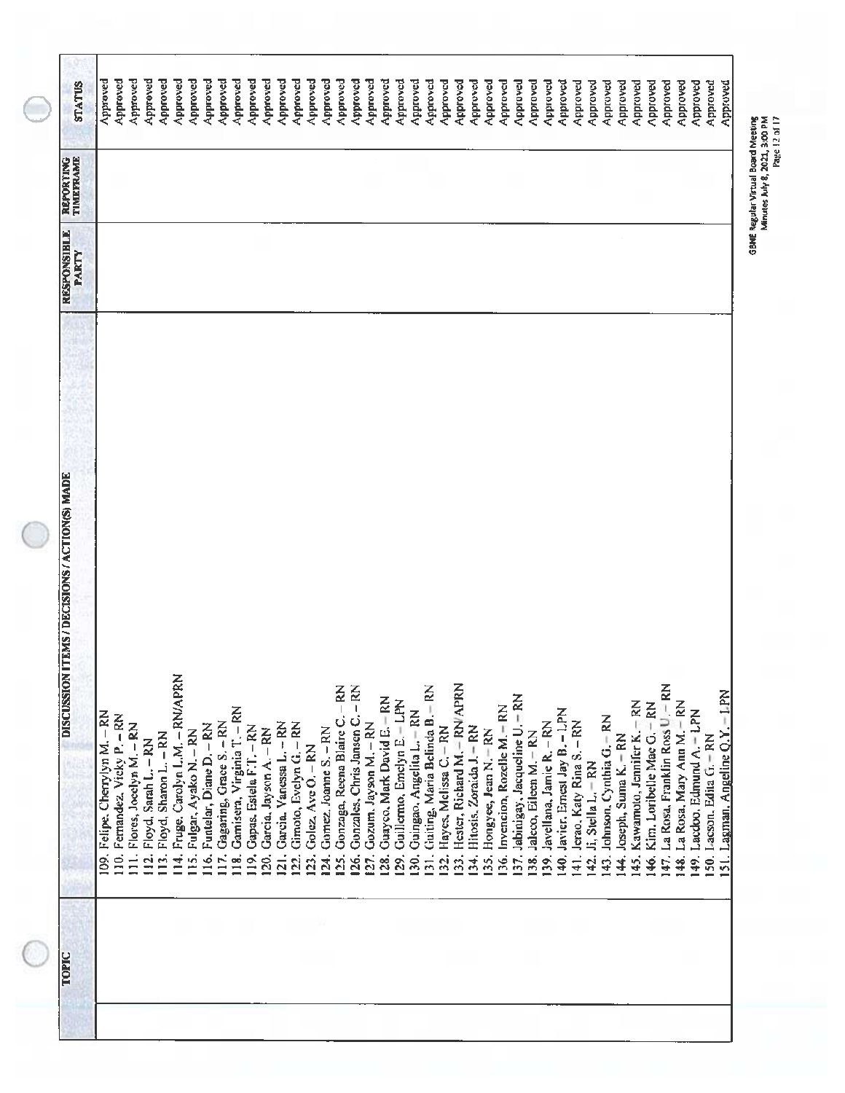| <b>STATUS</b>                                 | Approved                       | Approved                      | Approved                                                              | Approved<br>Approved       | Approved                                           | Approved                      | Approved                        | Approved                        | Approved                           | Approved                        | Approved                       | Approved                                     | Approved                            | Approved                        | Approved                          | Approved                                    | Approved                               | Approved                   | Approved                           | Approved                          | Approved                          | Approved                                            | Approved                                    | Approved                                          | Approved                         | Approved                    | Approved                           | Approved                          | Approved                       | Approved                                 | Approved                                                    | Approved<br>Approved              | Approved                         | Approved                    | Approved                           | Approved                                    | Approved                            | Approved                                    | Approved                        | Approved                  | Approved                             |
|-----------------------------------------------|--------------------------------|-------------------------------|-----------------------------------------------------------------------|----------------------------|----------------------------------------------------|-------------------------------|---------------------------------|---------------------------------|------------------------------------|---------------------------------|--------------------------------|----------------------------------------------|-------------------------------------|---------------------------------|-----------------------------------|---------------------------------------------|----------------------------------------|----------------------------|------------------------------------|-----------------------------------|-----------------------------------|-----------------------------------------------------|---------------------------------------------|---------------------------------------------------|----------------------------------|-----------------------------|------------------------------------|-----------------------------------|--------------------------------|------------------------------------------|-------------------------------------------------------------|-----------------------------------|----------------------------------|-----------------------------|------------------------------------|---------------------------------------------|-------------------------------------|---------------------------------------------|---------------------------------|---------------------------|--------------------------------------|
| TIMEFRAME<br>REPORTING                        |                                |                               |                                                                       |                            |                                                    |                               |                                 |                                 |                                    |                                 |                                |                                              |                                     |                                 |                                   |                                             |                                        |                            |                                    |                                   |                                   |                                                     |                                             |                                                   |                                  |                             |                                    |                                   |                                |                                          |                                                             |                                   |                                  |                             |                                    |                                             |                                     |                                             |                                 |                           |                                      |
| <b>RESPONSIBLE</b><br><b>PARTY</b>            |                                |                               |                                                                       |                            |                                                    |                               |                                 |                                 |                                    |                                 |                                |                                              |                                     |                                 |                                   |                                             |                                        |                            |                                    |                                   |                                   |                                                     |                                             |                                                   |                                  |                             |                                    |                                   |                                |                                          |                                                             |                                   |                                  |                             |                                    |                                             |                                     |                                             |                                 |                           |                                      |
| DISCUSSION ITEMS / DECISIONS / ACTION(S) MADE | 109. Felipe. Cherrylyn M. - RN | 110. Fernandez, Vicky P. - RN | 111. Flores, Jocelyn M. - RN<br>Floyd, Sarah L. - RN<br>$\frac{1}{2}$ | 113. Floyd, Sharon L. - RN | Fruge, Carolyn L.M. - RN/APRN<br>$\overline{14}$ . | Fulgar, Ayako N. - RN<br>115. | Funtelar, Diane D. - RN<br>116. | Gagaring, Grace S. - RN<br>117. | Gamisera, Virginia T. - RN<br>118. | Gapas, Estela F.T. - RN<br>119. | Garcia, Jayson A. - RN<br>120. | Garcia, Vanessa L. - RN<br>$\overline{21}$ . | Gimoto, Evelyn G. - RN<br><u>קי</u> | Golez, Ave O. - RN<br><u>ទី</u> | Gomez, Joanne S. - RN<br><u>й</u> | Gonzaga, Reena Blaire C. - RN<br><u>ମ୍ବ</u> | Gonzales, Chris Jansen C. - RN<br>126. | Gozum, Jayson M. - RN<br>2 | Guayco, Mark David E. - RN<br>128. | Guillermo, Emelyn E. - LPN<br>29. | Guingao, Angelita L. - RN<br>130. | Chaiting, Maria Belinda B. - RN<br>$\overline{5}$ . | Hayes, Melissa C. - RN<br>$\overline{32}$ . | Hester, Richard M. - RN/APRN<br>$\overline{33}$ . | Hitosis, Zoraida J. - RN<br>134. | Hongyee, Jean N.-RN<br>135. | Invencion, Rozelle M. - RN<br>136. | 37. Jabinigay, Jacqueline U. - RN | Jaleco, Eileen M. - RN<br>138. | Javellana, Jamie R. - RN<br>139.<br>140. | Javier, Ernest Jay B. - LPN<br>41. Jerao, Katy Rina S. - RN | Ji, Stella L.-RN<br>$\frac{4}{3}$ | Johnson, Cynthia G. - RN<br>143. | Joseph, Suma K. - RN<br>14. | Kawamoto, Jennifer K. - RN<br>145. | Kim, Loribelle Mac G. - RN<br>$\frac{4}{5}$ | 147. La Rosa, Franklin Ross U. - RN | La Rosa, Mary Ann M. - RN<br>$\frac{48}{1}$ | Lacdoo, Edmund A. - LPN<br>149. | 50. Lacson, Edita G. - RN | $-1.9N$<br>51. Lagman, Angeline Q.Y. |
| <b>TOPIC</b>                                  |                                |                               |                                                                       |                            |                                                    |                               |                                 |                                 |                                    |                                 |                                |                                              |                                     |                                 |                                   |                                             |                                        |                            |                                    |                                   |                                   |                                                     |                                             |                                                   |                                  |                             |                                    |                                   |                                |                                          |                                                             |                                   |                                  |                             |                                    |                                             |                                     |                                             |                                 |                           |                                      |

GBNE Regular Virtual Board Meeting<br>Minutes July 8, 2021, 3:00 PM<br>Page 12 of 17 GBNE Regular Virtual Board Meeting Minutes Jury s, 2021, 3:00 PM 'age 12 or 17

ſ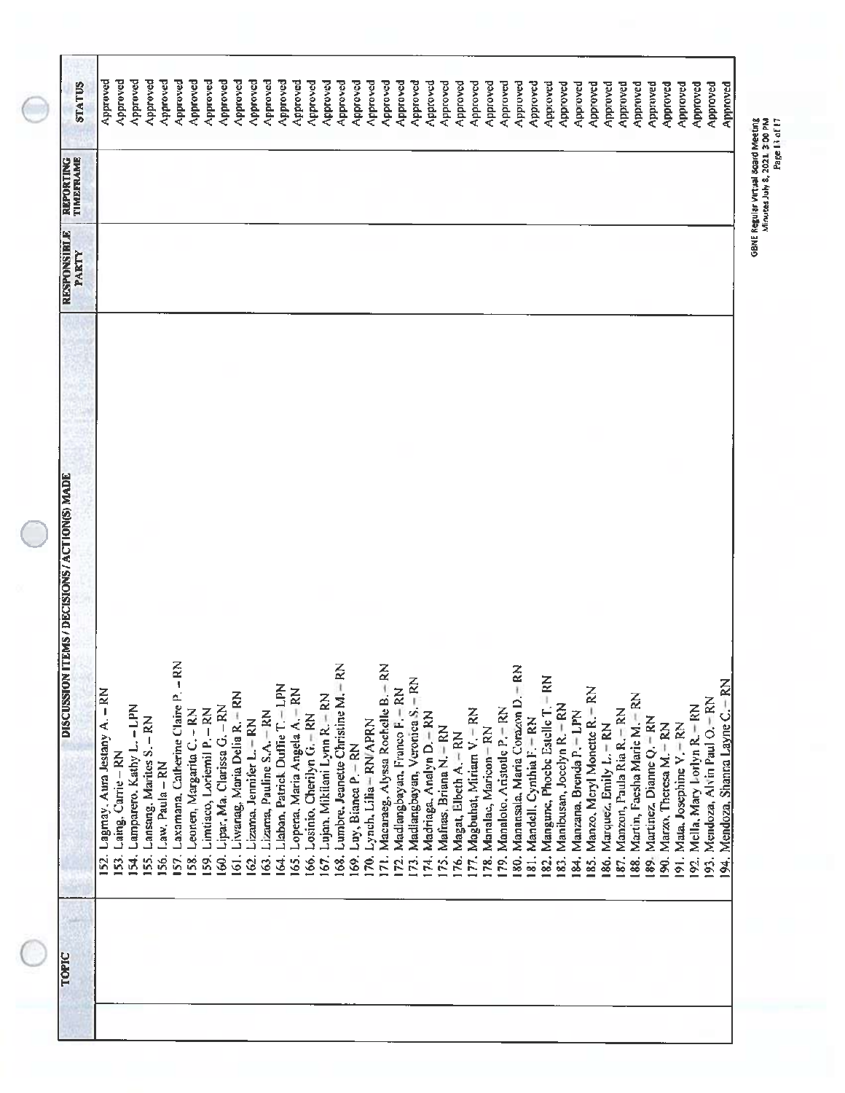|                                                                           |                | <b>RESPONSIBLE</b><br>PARTY | TIMEFRAME<br>REPORTING | <b>STATUS</b>        |
|---------------------------------------------------------------------------|----------------|-----------------------------|------------------------|----------------------|
| Lagmay, Aura Jestany A. - RN<br>52.                                       |                |                             |                        | Approved             |
| 153. Laing, Carrie - RN                                                   |                |                             |                        | Approved             |
| 54. Lamparero. Kathy L. - LPN                                             |                |                             |                        | Approved             |
| 155. Lansang, Marites S. - RN<br>Law, Paula - RN<br>56.                   |                |                             |                        | Approved<br>Approved |
| Laxamana, Catherine Claire P. -<br>157.                                   | $\mathbb{R}^2$ |                             |                        | Approved             |
| Leonen, Margarita C. - RN<br>58.                                          |                |                             |                        | Approved             |
| Limtiaco, Loriemil P. - RN<br>59,                                         |                |                             |                        | Approved             |
| Lipar, Ma. Clarissa G. - RN<br>\$                                         |                |                             |                        | Approved             |
| Liwanag, Maria Delia R. ERN<br>$\overline{61}$ .                          |                |                             |                        | Approved             |
| Lizama, Jennifer L.-RN<br><u>ର</u>                                        |                |                             |                        | Approved             |
| Lizana, Pauline S.A. - RN<br>$\ddot{\mathcal{S}}$ .                       |                |                             |                        | Approved             |
| Llaban, Patrick Duffie T. - LPN<br><u>र्जु</u>                            |                |                             |                        | Approved             |
| Lopena, Maria Angela A. - RN<br>Losinio, Cherilyn G. - RN<br>166.<br>165. |                |                             |                        | Approved             |
| Lujan, Mikilani Lynn R. - RN<br>167.                                      |                |                             |                        | Approved             |
| Lumbre. Jeanette Christine M.-<br>168.                                    | ξ              |                             |                        | Approved<br>Approved |
| Luy, Bianca P. - RN<br>169.                                               |                |                             |                        | Approved             |
| Lynch, Lilia - RN/APRN<br>ĮΦ,                                             |                |                             |                        | Approved             |
| Macaraeg, Alyssa Rochelle B.<br>ΓĪ.                                       | $\mathbb{R}^2$ |                             |                        | Approved             |
| Madlangbayan, Franco F. - RN<br>Ŕ                                         |                |                             |                        | Approved             |
| Madlangbayan, Veronica S. - RN<br>173.                                    |                |                             |                        | Approved             |
| Madriaga, Analyn D. - RN<br>174.                                          |                |                             |                        | Approved             |
| Mafras, Briana N. - RN<br>1Ś.                                             |                |                             |                        | Approved             |
| Magat, Elbeth A. - RN<br>16.                                              |                |                             |                        | Approved             |
| 77. Magbuhat, Miriam V. = RN                                              |                |                             |                        | Approved             |
| 78. Manalac, Maricon-RN                                                   |                |                             |                        | Approved             |
| 80. Manansala, Maria Corazon D. - RN<br>79. Manaloto, Aristotle P. - RN   |                |                             |                        | Approved             |
| 81. Mandell, Cynthia F. - RN                                              |                |                             |                        | Approved             |
| Mangune, Phoebe Estelle T.<br>$\frac{2}{3}$                               | $-$ RN         |                             |                        | Approved             |
| Manibusan, Jocelyn R. - RN<br>183.                                        |                |                             |                        | Approved<br>Approved |
| 84. Manzana, Brenda P. - LPN                                              |                |                             |                        | Approved             |
| Manzo, Meryl Monette R.- RN<br>185.                                       |                |                             |                        | Approved             |
| Marquez, Emily L. - RN<br>186.                                            |                |                             |                        | Approved             |
| Manzon, Paula Ria R. - RN<br>187.                                         |                |                             |                        | Approved             |
| Martin, Faesha Marie M. - RN<br>188.                                      |                |                             |                        | Approved             |
| Martinez, Dianne Q. - RN<br>89.                                           |                |                             |                        | Approved             |
| 90. Marzo, Theresa M. - RN                                                |                |                             |                        | Approved             |
| 191. Mata, Josephine V. = RN                                              |                |                             |                        | Approved             |
| 192. Mella, Mary Lorlyn R. - RN                                           |                |                             |                        | Approved             |
| 193. Mendoza, Alvin Paul O. - RN                                          |                |                             |                        | Approved             |
| 94. Mendoza, Shanna Layne C. - RN                                         |                |                             |                        | Approved             |

GBNE Regular Virtual Board Meeting<br>Minutes July 8, 2021, 3:00 PM<br>Minutes July 8, 2021, 3:00 PM

∍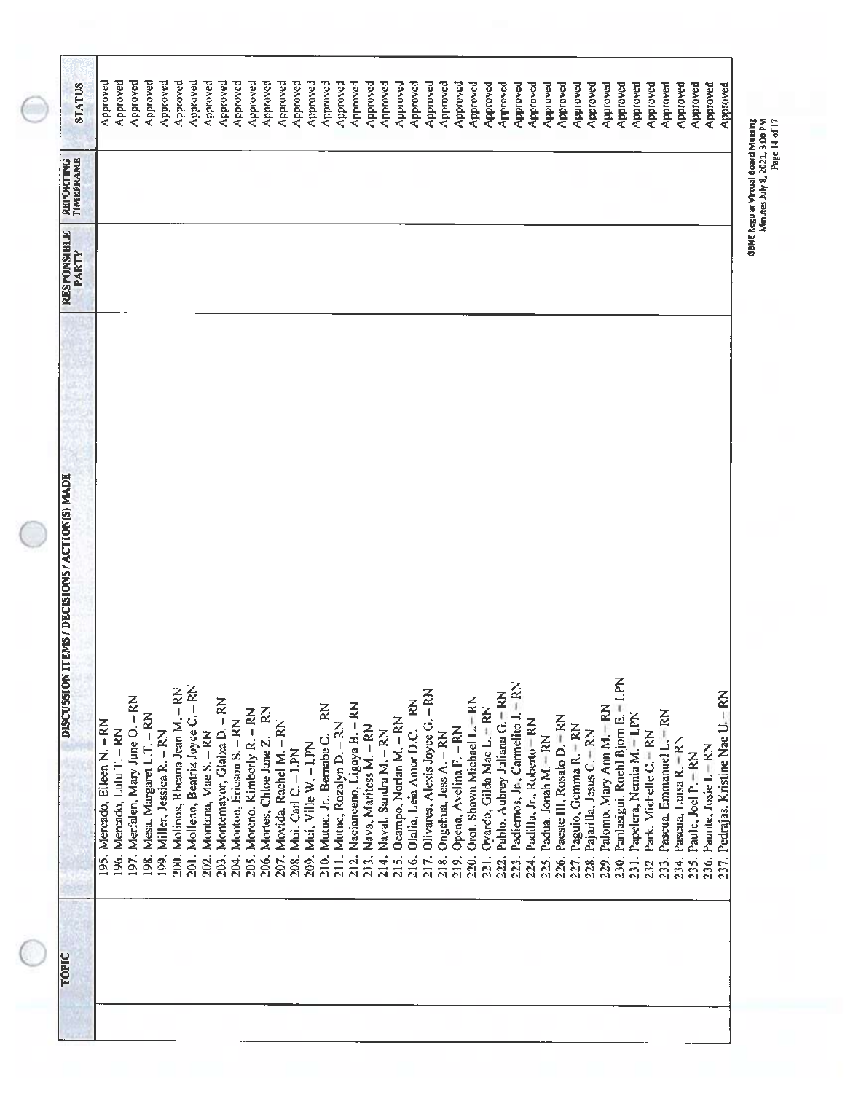|                                                | PARTY |          |
|------------------------------------------------|-------|----------|
| 195. Mercado, Eileen N. - RN                   |       | Approved |
| 196. Mercado, Lulu T. - RN                     |       | Approved |
| 197. Merfalen, Mary June O. - RN               |       | Approved |
| Mesa, Margaret L.T. - RN<br>198.               |       | Approved |
| Miller, Jessica R. - RN<br>$\frac{1}{9}$       |       | Approved |
| Molinos, Rheana Jean M. - RN<br>200            |       | Approved |
| Molleno, Beatriz Joyce C. - RN<br>$201$ .      |       | Approved |
| Montana, Mae S. - RN<br>202.                   |       | Approved |
| Montemayor, Glaiza D. - RN<br>203.             |       | Approved |
| Monton, Ericson S. - RN<br>204.                |       | Approved |
| Moreno. Kimberly R. - RN<br>205.               |       | Approved |
| Mortes, Chioe Jane Z. - RN<br>206.             |       | Approved |
| Movida, Rachel M. - RN<br>207.                 |       | Approved |
| Mui, Carl C. - LPN<br>208.                     |       | Approved |
| Mui, Ville W. - LPN<br>209.                    |       | Approved |
| Mutuc, Jr., Bernabe C. - RN<br>210.            |       | Approved |
| 211. Mutuc, Rozalyn D. - RN                    |       | Approved |
| Nacianeeno, Ligaya B. - RN<br>$\frac{21}{21}$  |       | Approved |
| Nava, Maritess M. - RN<br>213.                 |       | Approved |
| Naval, Sandra M. - RN<br>214.                  |       | Approved |
| Ocampo, Norlan M. - RN<br>215.                 |       | Approved |
| Olalia, Leia Amor D.C. - RN<br>216.            |       | Approved |
| Olivares. Alexis Joyce G. - RN<br>217.         |       | Approved |
| Ongchua, Jess A. - RN<br>$\frac{8}{218}$       |       | Approved |
| Opena, Avelina F. - RN<br>219.                 |       | Approved |
| Orot, Shawn Michael L.-RN<br>20.               |       | Approved |
| Oyardo, Gilda Mae L. + RN<br>$\overline{21}$ . |       | Approved |
| Pablo, Aubrey Juliana G. - RN<br>222.          |       | Approved |
| Padiernos, Jr., Carmelito J. - RN<br>223.      |       | Approved |
| Padilla, Jr., Roberto - RN<br>24.              |       | Approved |
| Padua, Jonah M. - RN<br>225.                   |       | Approved |
| Paeste III, Rosalo D. - RN<br>226.             |       | Approved |
| Paguio, Gemma R. - RN<br>227.                  |       | Approved |
| Pajarilla, Jesus C. - RN<br>228.               |       | Approved |
| Palomo, Mary Ann M.-RN<br>229.                 |       | Approved |
| Panlasigui, Rochl Bjorn E. - LPN<br>230.       |       | Approved |
| Papelera, Nemia M. - LPN<br>23).               |       | Approved |
| Park, Michelle C. FRN<br>232.                  |       | Approved |
| Pascua, Emmanuel L. = RN<br>233.               |       | Approved |
| Pascua, Luisa R. - RN<br>234.                  |       | Approved |
| Paule, Joel P. - RN<br>235.                    |       | Approved |
| 236. Paunte, Josie I. - RN                     |       | Approved |
| 237. Pedrajas. Kristine Nac U. - RN            |       | Approved |

 $\bigcirc$ 

 $\bigcirc$ 

 $\subset$ 

GSNE Reg-j ar Vilual Board Meeting Minutes July 8, 2021, 3:00 PM GBNE Regular Virtual Board Meeting<br>Minutes July 8, 2021, 3:00 PM<br>Minutes July 8, 2021, 3:00 PM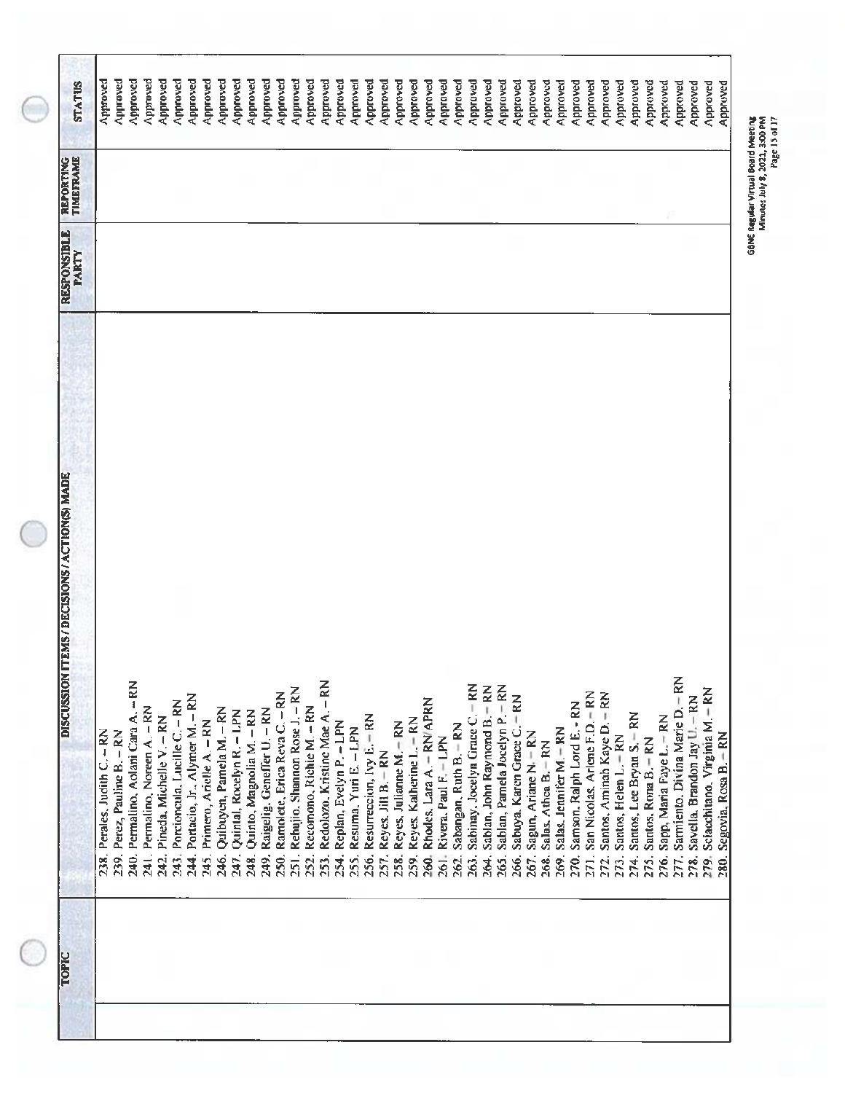| <b>DISCUSSION ITEMS / DECISIONS / ACTION(S) MADE</b> | <b>RESPONSIBLE</b><br>PARTY | TIMEFRAME<br>REPORTING | <b>STATUS</b> |
|------------------------------------------------------|-----------------------------|------------------------|---------------|
| Perales, Judith C. - RN<br>238.                      |                             |                        | Approved      |
| 239. Perez, Pauline B. - RN                          |                             |                        | Approved      |
| 240. Permalino, Aolani Cara A. - RN                  |                             |                        | Approved      |
| 241. Permalino, Noreen A. - RN                       |                             |                        | Approved      |
| Pineda, Michelle V. - RN<br>242.                     |                             |                        | Approved      |
| Porcioncula, Lucille C. - RN<br>243.                 |                             |                        | Approved      |
| Portacio, Jr., Alymer M. - RN<br>244.                |                             |                        | Approved      |
| Primero, Arielle A. - RN<br>245.                     |                             |                        | Approved      |
| Quibuyen, Pamela M. - RN<br>246.                     |                             |                        | Approved      |
| Quintal, Rocelyn R. - LPN<br>247.                    |                             |                        | Approved      |
| Quinto, Magnolia M. - RN<br>248.                     |                             |                        | Approved      |
| Raigelig, Geneffer U. - RN<br>249.                   |                             |                        | Approved      |
| Ramolete, Erica Reva C. - RN<br>250.                 |                             |                        | Approved      |
| Rebujio. Shannon Rose J. - RN<br>$\frac{1}{25}$      |                             |                        | Approved      |
| Recomono, Richie M. - RN<br>252.                     |                             |                        | Approved      |
| $-$ RN<br>Redolozo, Kristine Mae A.<br>253.          |                             |                        | Approved      |
| Replan, Evelyn P. - LPN<br>254.                      |                             |                        | Approved      |
| Resuma, Yuri E. - LPN<br>255.                        |                             |                        | Approved      |
| Resurreccion, Ivy E. - RN<br>256.                    |                             |                        | percoved      |
| Reyes, Jill B.-RN<br>257.                            |                             |                        | Approved      |
| Reyes, Julianne M. - RN<br>258.                      |                             |                        | Approved      |
| Reyes, Katherine L. - RN<br>259.                     |                             |                        | Approved      |
| Rhodes, Lara A. - RN/APRN<br>260.                    |                             |                        | Approved      |
| Rivera, Paul F. - LPN<br>261.                        |                             |                        | Approved      |
| Sabangan, Ruth B. - RN<br>262.                       |                             |                        | Approved      |
| Sabinay, Jocelyn Grace C. - RN<br>263.               |                             |                        |               |
| Sablan, John Raymond B. - RN<br>эø,                  |                             |                        | pendaly       |
| Sablan, Pamela Jocelyn P.- RN<br>265.                |                             |                        | Approved      |
| Sabuya, Karen Grace C. - RN<br>266,                  |                             |                        | Approved      |
|                                                      |                             |                        | Approved      |
| Sagun, Ariane N. - RN<br>267.                        |                             |                        | Approved      |
| Salas, Athea B. - RN<br>268.                         |                             |                        | Approved      |
| Salas, Jennifer M. - RN<br>269.                      |                             |                        | Approved      |
| Samson, Ralph Lord E. - RN<br>270.                   |                             |                        | Approved      |
| San Nicolas, Arlene F.D. - RN<br>271.                |                             |                        | Approved      |
| Santos, Aminah Kaye D. - RN<br>272.                  |                             |                        | Approved      |
| Santos, Helen L. - RN<br>273.                        |                             |                        | Approved      |
| Santos, Lee Bryan S. - RN<br>274.                    |                             |                        | Approved      |
| Santos, Rona B. - RN<br>275.                         |                             |                        | Approved      |
| Sapp, Maria Faye L. - RN<br>276.                     |                             |                        | Approved      |
| Sarmiento, Divina Marie D. - RN<br>277.              |                             |                        | Approved      |
| 278. Savella, Brandon Jay U. - RN                    |                             |                        | Approved      |
| Sciacchitano, Virginia M. - RN<br>279.               |                             |                        | Approved      |
| $-$ RN<br>Segovia, Rosa B.<br>280.                   |                             |                        | Approved      |

H

GBNE Regular Virtual Board Meeting<br>Minutes July 8, 2021, 3:00 PM<br>Minutes July 8, 2021, 3:00 PM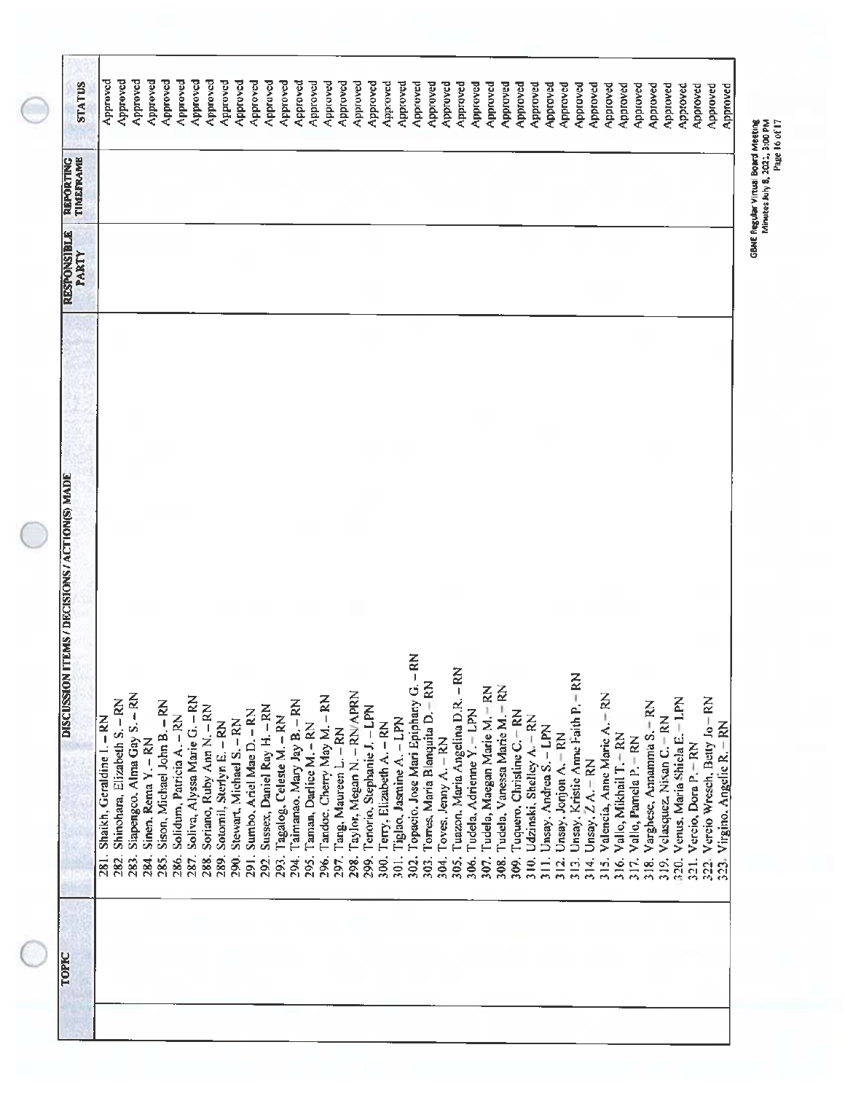| <b>STATUS</b><br>TIMEFRAME<br><b>REFORTING</b> | Approved                          | Approved                             | Approved                            | Approved                    |                                     | Approved | Approved                          | Approved                             | Approved                          | Approved                         |                                | Approved                         | Approved                           | Approved | Approved                 | Approved                           | Approved                       | Approved                           | Approved                      | Approved                           | Approved                            | Approved                         | Approved                         | Approved                                    | Approved                                | Approved                     | Approved                                 | Approved                          | Approved                             | Approved                             | Approved                           | Approved                                     | Approved                                | Approved                               | Approved                                           | Approved                   | Approved                                           | Approved                       | Approved                      | Approved                                     | Approved                         | Approved                             | Approved                | Approved                        | Approved                      |
|------------------------------------------------|-----------------------------------|--------------------------------------|-------------------------------------|-----------------------------|-------------------------------------|----------|-----------------------------------|--------------------------------------|-----------------------------------|----------------------------------|--------------------------------|----------------------------------|------------------------------------|----------|--------------------------|------------------------------------|--------------------------------|------------------------------------|-------------------------------|------------------------------------|-------------------------------------|----------------------------------|----------------------------------|---------------------------------------------|-----------------------------------------|------------------------------|------------------------------------------|-----------------------------------|--------------------------------------|--------------------------------------|------------------------------------|----------------------------------------------|-----------------------------------------|----------------------------------------|----------------------------------------------------|----------------------------|----------------------------------------------------|--------------------------------|-------------------------------|----------------------------------------------|----------------------------------|--------------------------------------|-------------------------|---------------------------------|-------------------------------|
| <b>RESPONSIBLE</b><br>PARTY                    |                                   |                                      |                                     |                             |                                     |          |                                   |                                      |                                   |                                  |                                |                                  |                                    |          |                          |                                    |                                |                                    |                               |                                    |                                     |                                  |                                  |                                             |                                         |                              |                                          |                                   |                                      |                                      |                                    |                                              |                                         |                                        |                                                    |                            |                                                    |                                |                               |                                              |                                  |                                      |                         |                                 |                               |
| DISCUSSION ITEMS / DECISIONS / ACTION(S) MADE  | Shaikh, Geraldine I. - RN<br>281. | Shinohara, Elizabeth S. - RN<br>282. | Siapengco, Alma Gay S. - RN<br>283. | Sinen, Rema Y. - RN<br>284. | Sison, Michael John B. - RN<br>285. |          | Solidum, Patricia A. - RN<br>286. | Soliva, Alyssa Marie G. - RN<br>287. | Soriano, Ruby Ann N. - RN<br>288. | Sotomil, Sterlyn E. - RN<br>289. | Stewart, Michael S. - RN<br>Š, | Sumbo, Ariel Mae D. - RN<br>291. | Sussex, Daniel Ray H. - RN<br>292. | 293.     | Tagalog, Celeste M. - RN | Taimanao, Mary Jay B. - RN<br>294. | Taman, Darlice M. - RN<br>295. | Tandoc, Cherry May M. - RN<br>296. | Tang, Maureen L. - RN<br>297. | Taylor, Megan N. - RN/APRN<br>298. | Tenorio, Stephanie J. - LPN<br>299. | Terry, Elizabeth A. - RN<br>300. | Tiglao, Jasmine A. - LPN<br>301. | Topacio. Jose Mari Epiphany G. - RN<br>302. | Torres, Maria Blanquita D. - RN<br>303. | Toves, Jenny A. - RN<br>304. | Tuazon, Maria Angelina D.R. - RN<br>305. | Tudela, Adrienne Y. = LPN<br>306. | Tudela, Maegan Marie M. - RN<br>307. | Tudela, Vanessa Marie M.- RN<br>308. | Tuquero, Christine C. - RN<br>309. | Udzinski, Shelley A. - RN<br>$\frac{310}{2}$ | Unsay, Andrea S. - LPN<br>$\frac{1}{2}$ | Unsay, Jonjon A. - RN<br>$\frac{1}{3}$ | Unsay, Kristie Anne Faith P. - RN<br>$\frac{3}{2}$ | Unsay, $Z A - R N$<br>314. | $-$ RN<br>Valencia, Anne Marie A.<br>$\frac{3}{2}$ | Vallo, Mikhail T. - RN<br>316. | Vallo, Pamela P. - RN<br>317. | Varghese, Amamma S. - RN<br>$\frac{96}{218}$ | Velasquez, Nixan C. - RN<br>319. | Venus, Maria Shiela E. - LPN<br>320. | 321. Vercio, Dora P.-RN | 322. Vercio Wresch, Betty Jo-RN | 323. Virgino, Angelie R. - RN |
| TOPIC                                          |                                   |                                      |                                     |                             |                                     |          |                                   |                                      |                                   |                                  |                                |                                  |                                    |          |                          |                                    |                                |                                    |                               |                                    |                                     |                                  |                                  |                                             |                                         |                              |                                          |                                   |                                      |                                      |                                    |                                              |                                         |                                        |                                                    |                            |                                                    |                                |                               |                                              |                                  |                                      |                         |                                 |                               |

 $\bigcirc$ 

 $\bigcirc$ 

-f

GENE Regular Virtue' Board Meeting Minutes July 8, 2021, 3:00 PM GBNE Regular Virtual Board Meeting<br>Minutes July 8, 2021, 3:00 PM<br>Minutes July 8, 2021, 3:00 PM